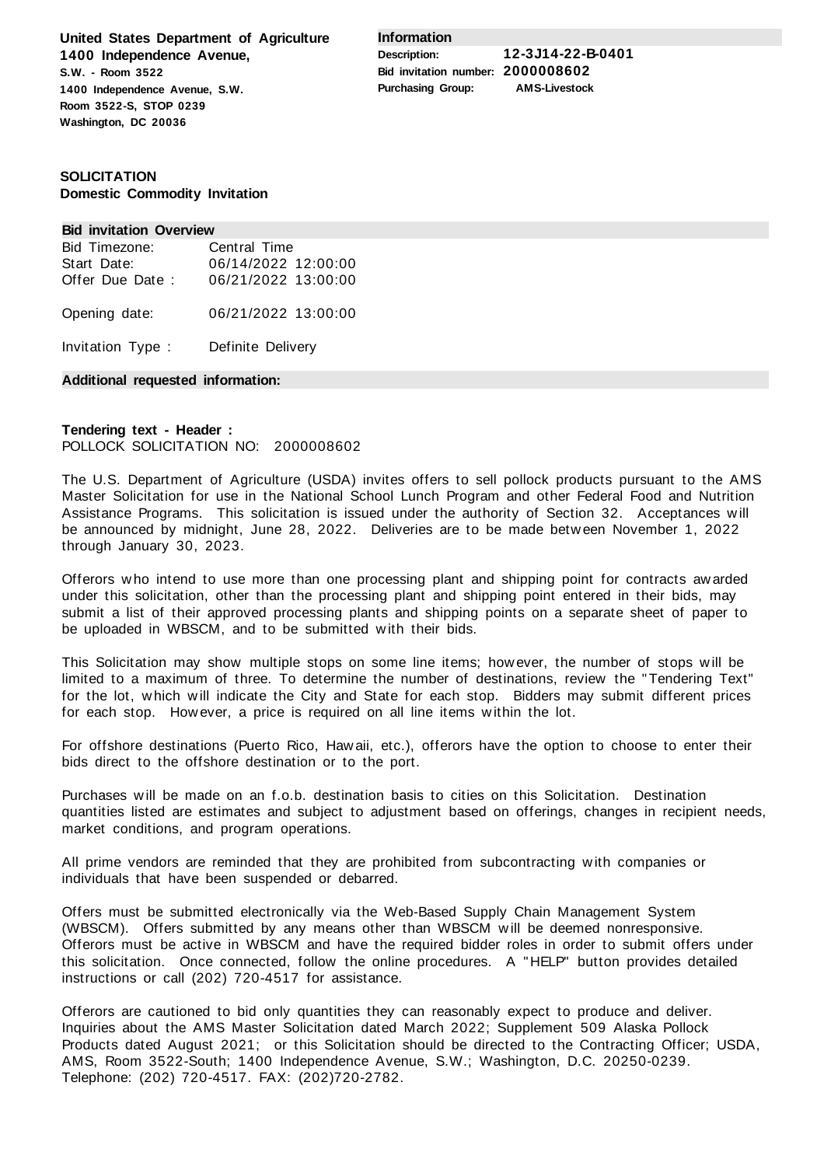**United States Department of Agriculture 1400 Independence Avenue, S.W. - Room 3522 1400 Independence Avenue, S.W. Room 3522-S, STOP 0239 Washington, DC 20036**

**Information**

**Description: 12-3J14-22-B-0401 Bid invitation number: 2000008602 Purchasing Group: AMS-Livestock**

# **SOLICITATION Domestic Commodity Invitation**

### **Bid invitation Overview**

| Bid Timezone:     | Central Time        |
|-------------------|---------------------|
| Start Date:       | 06/14/2022 12:00:00 |
| Offer Due Date:   | 06/21/2022 13:00:00 |
| Opening date:     | 06/21/2022 13:00:00 |
| Invitation Type : | Definite Delivery   |

## **Additional requested information:**

# **Tendering text - Header :** POLLOCK SOLICITATION NO: 2000008602

The U.S. Department of Agriculture (USDA) invites offers to sell pollock products pursuant to the AMS Master Solicitation for use in the National School Lunch Program and other Federal Food and Nutrition Assistance Programs. This solicitation is issued under the authority of Section 32. Acceptances will be announced by midnight, June 28, 2022. Deliveries are to be made between November 1, 2022 through January 30, 2023.

Offerors who intend to use more than one processing plant and shipping point for contracts awarded under this solicitation, other than the processing plant and shipping point entered in their bids, may submit a list of their approved processing plants and shipping points on a separate sheet of paper to be uploaded in WBSCM, and to be submitted with their bids.

This Solicitation may show multiple stops on some line items; however, the number of stops will be limited to a maximum of three. To determine the number of destinations, review the "Tendering Text" for the lot, which will indicate the City and State for each stop. Bidders may submit different prices for each stop. However, a price is required on all line items within the lot.

For offshore destinations (Puerto Rico, Hawaii, etc.), offerors have the option to choose to enter their bids direct to the offshore destination or to the port.

Purchases will be made on an f.o.b. destination basis to cities on this Solicitation. Destination quantities listed are estimates and subject to adjustment based on offerings, changes in recipient needs, market conditions, and program operations.

All prime vendors are reminded that they are prohibited from subcontracting with companies or individuals that have been suspended or debarred.

Offers must be submitted electronically via the Web-Based Supply Chain Management System (WBSCM). Offers submitted by any means other than WBSCM will be deemed nonresponsive. Offerors must be active in WBSCM and have the required bidder roles in order to submit offers under this solicitation. Once connected, follow the online procedures. A "HELP" button provides detailed instructions or call (202) 720-4517 for assistance.

Offerors are cautioned to bid only quantities they can reasonably expect to produce and deliver. Inquiries about the AMS Master Solicitation dated March 2022; Supplement 509 Alaska Pollock Products dated August 2021; or this Solicitation should be directed to the Contracting Officer; USDA, AMS, Room 3522-South; 1400 Independence Avenue, S.W.; Washington, D.C. 20250-0239. Telephone: (202) 720-4517. FAX: (202)720-2782.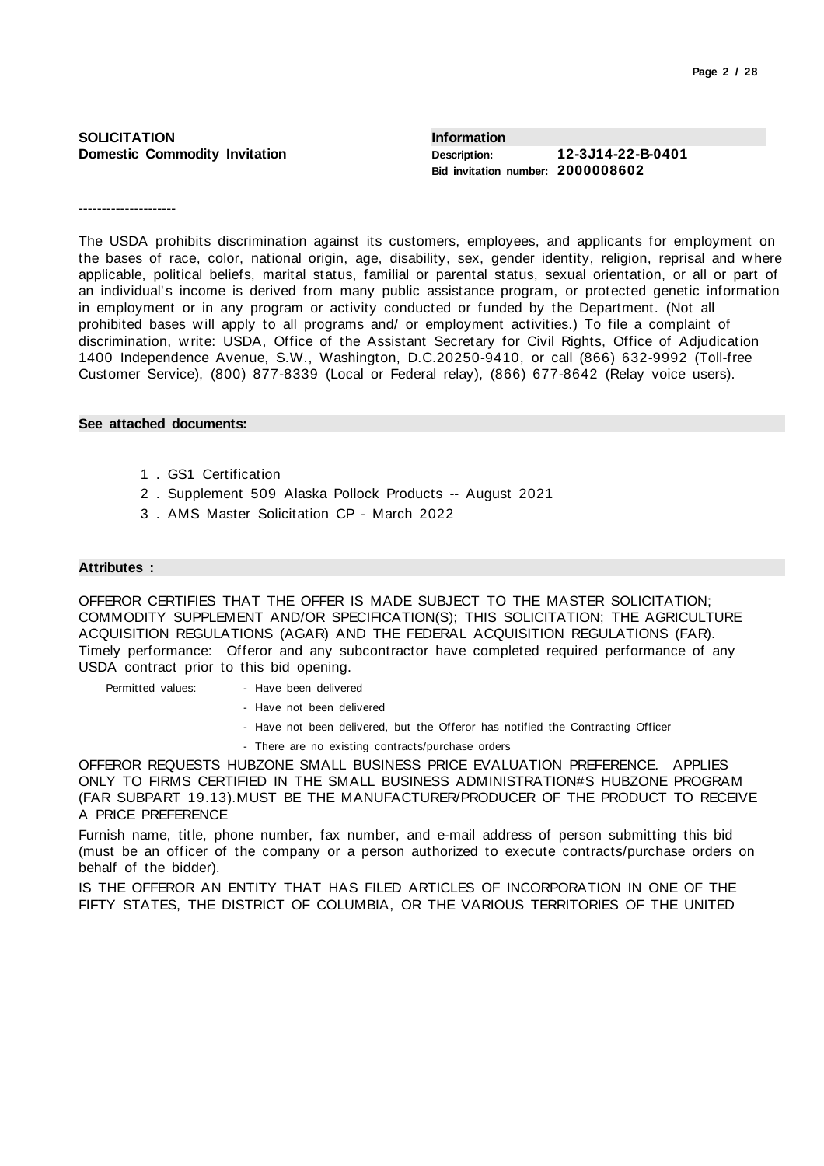| <b>SOLICITATION</b>                  | Information                                              |                   |
|--------------------------------------|----------------------------------------------------------|-------------------|
| <b>Domestic Commodity Invitation</b> | <b>Description:</b><br>Bid invitation number: 2000008602 | 12-3J14-22-B-0401 |

---------------------

The USDA prohibits discrimination against its customers, employees, and applicants for employment on the bases of race, color, national origin, age, disability, sex, gender identity, religion, reprisal and where applicable, political beliefs, marital status, familial or parental status, sexual orientation, or all or part of an individual's income is derived from many public assistance program, or protected genetic information in employment or in any program or activity conducted or funded by the Department. (Not all prohibited bases will apply to all programs and/ or employment activities.) To file a complaint of discrimination, write: USDA, Office of the Assistant Secretary for Civil Rights, Office of Adjudication 1400 Independence Avenue, S.W., Washington, D.C.20250-9410, or call (866) 632-9992 (Toll-free Customer Service), (800) 877-8339 (Local or Federal relay), (866) 677-8642 (Relay voice users).

### **See attached documents:**

- 1 . GS1 Certification
- 2 . Supplement 509 Alaska Pollock Products -- August 2021
- 3 . AMS Master Solicitation CP March 2022

## **Attributes :**

OFFEROR CERTIFIES THAT THE OFFER IS MADE SUBJECT TO THE MASTER SOLICITATION; COMMODITY SUPPLEMENT AND/OR SPECIFICATION(S); THIS SOLICITATION; THE AGRICULTURE ACQUISITION REGULATIONS (AGAR) AND THE FEDERAL ACQUISITION REGULATIONS (FAR). Timely performance: Offeror and any subcontractor have completed required performance of any USDA contract prior to this bid opening.

Permitted values: - Have been delivered

- Have not been delivered
- Have not been delivered, but the Offeror has notified the Contracting Officer
- There are no existing contracts/purchase orders

OFFEROR REQUESTS HUBZONE SMALL BUSINESS PRICE EVALUATION PREFERENCE. APPLIES ONLY TO FIRMS CERTIFIED IN THE SMALL BUSINESS ADMINISTRATION#S HUBZONE PROGRAM (FAR SUBPART 19.13).MUST BE THE MANUFACTURER/PRODUCER OF THE PRODUCT TO RECEIVE A PRICE PREFERENCE

Furnish name, title, phone number, fax number, and e-mail address of person submitting this bid (must be an officer of the company or a person authorized to execute contracts/purchase orders on behalf of the bidder).

IS THE OFFEROR AN ENTITY THAT HAS FILED ARTICLES OF INCORPORATION IN ONE OF THE FIFTY STATES, THE DISTRICT OF COLUMBIA, OR THE VARIOUS TERRITORIES OF THE UNITED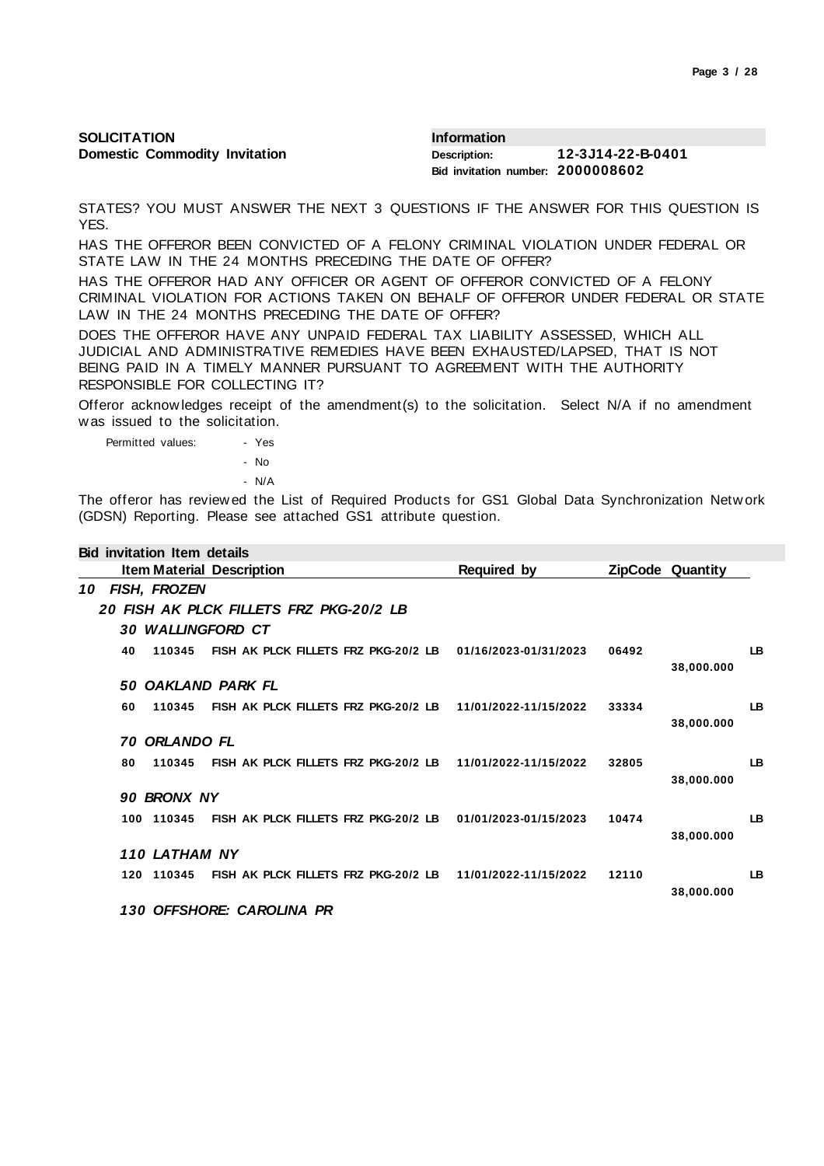| Page 3 / 28 |  |  |  |
|-------------|--|--|--|
|-------------|--|--|--|

| <b>SOLICITATION</b>                  | <b>Information</b>                |                   |
|--------------------------------------|-----------------------------------|-------------------|
| <b>Domestic Commodity Invitation</b> | Description:                      | 12-3J14-22-B-0401 |
|                                      | Bid invitation number: 2000008602 |                   |

STATES? YOU MUST ANSWER THE NEXT 3 QUESTIONS IF THE ANSWER FOR THIS QUESTION IS YES.

HAS THE OFFEROR BEEN CONVICTED OF A FELONY CRIMINAL VIOLATION UNDER FEDERAL OR STATE LAW IN THE 24 MONTHS PRECEDING THE DATE OF OFFER?

HAS THE OFFEROR HAD ANY OFFICER OR AGENT OF OFFEROR CONVICTED OF A FELONY CRIMINAL VIOLATION FOR ACTIONS TAKEN ON BEHALF OF OFFEROR UNDER FEDERAL OR STATE LAW IN THE 24 MONTHS PRECEDING THE DATE OF OFFER?

DOES THE OFFEROR HAVE ANY UNPAID FEDERAL TAX LIABILITY ASSESSED, WHICH ALL JUDICIAL AND ADMINISTRATIVE REMEDIES HAVE BEEN EXHAUSTED/LAPSED, THAT IS NOT BEING PAID IN A TIMELY MANNER PURSUANT TO AGREEMENT WITH THE AUTHORITY RESPONSIBLE FOR COLLECTING IT?

Offeror acknowledges receipt of the amendment(s) to the solicitation. Select N/A if no amendment was issued to the solicitation.

Permitted values: - Yes - No - N/A

**Bid invitation Item details**

The offeror has reviewed the List of Required Products for GS1 Global Data Synchronization Network (GDSN) Reporting. Please see attached GS1 attribute question.

|    |     | Bid invitation Item details |                                                            |                       |       |                         |           |
|----|-----|-----------------------------|------------------------------------------------------------|-----------------------|-------|-------------------------|-----------|
|    |     |                             | <b>Item Material Description</b>                           | <b>Required by</b>    |       | <b>ZipCode Quantity</b> |           |
| 10 |     | FISH, FROZEN                |                                                            |                       |       |                         |           |
|    |     |                             | 20 FISH AK PLCK FILLETS FRZ PKG-20/2 LB                    |                       |       |                         |           |
|    |     |                             | <b>30 WALLINGFORD CT</b>                                   |                       |       |                         |           |
|    | 40  | 110345                      | FISH AK PLCK FILLETS FRZ PKG-20/2 LB                       | 01/16/2023-01/31/2023 | 06492 | 38,000.000              | LB        |
|    | 50  |                             | OAKLAND PARK FL                                            |                       |       |                         |           |
|    | 60  | 110345                      | FISH AK PLCK FILLETS FRZ PKG-20/2 LB                       | 11/01/2022-11/15/2022 | 33334 | 38,000.000              | <b>LB</b> |
|    | 70  | <b>ORLANDO FL</b>           |                                                            |                       |       |                         |           |
|    | 80  | 110345                      | FISH AK PLCK FILLETS FRZ PKG-20/2 LB 11/01/2022-11/15/2022 |                       | 32805 | 38,000.000              | <b>LB</b> |
|    |     | 90 BRONX NY                 |                                                            |                       |       |                         |           |
|    | 100 | 110345                      | FISH AK PLCK FILLETS FRZ PKG-20/2 LB                       | 01/01/2023-01/15/2023 | 10474 | 38,000.000              | <b>LB</b> |
|    |     | 110 LATHAM NY               |                                                            |                       |       |                         |           |
|    |     | 120 110345                  | FISH AK PLCK FILLETS FRZ PKG-20/2 LB                       | 11/01/2022-11/15/2022 | 12110 | 38,000.000              | <b>LB</b> |
|    |     |                             | 130 OFFSHORE: CAROLINA PR                                  |                       |       |                         |           |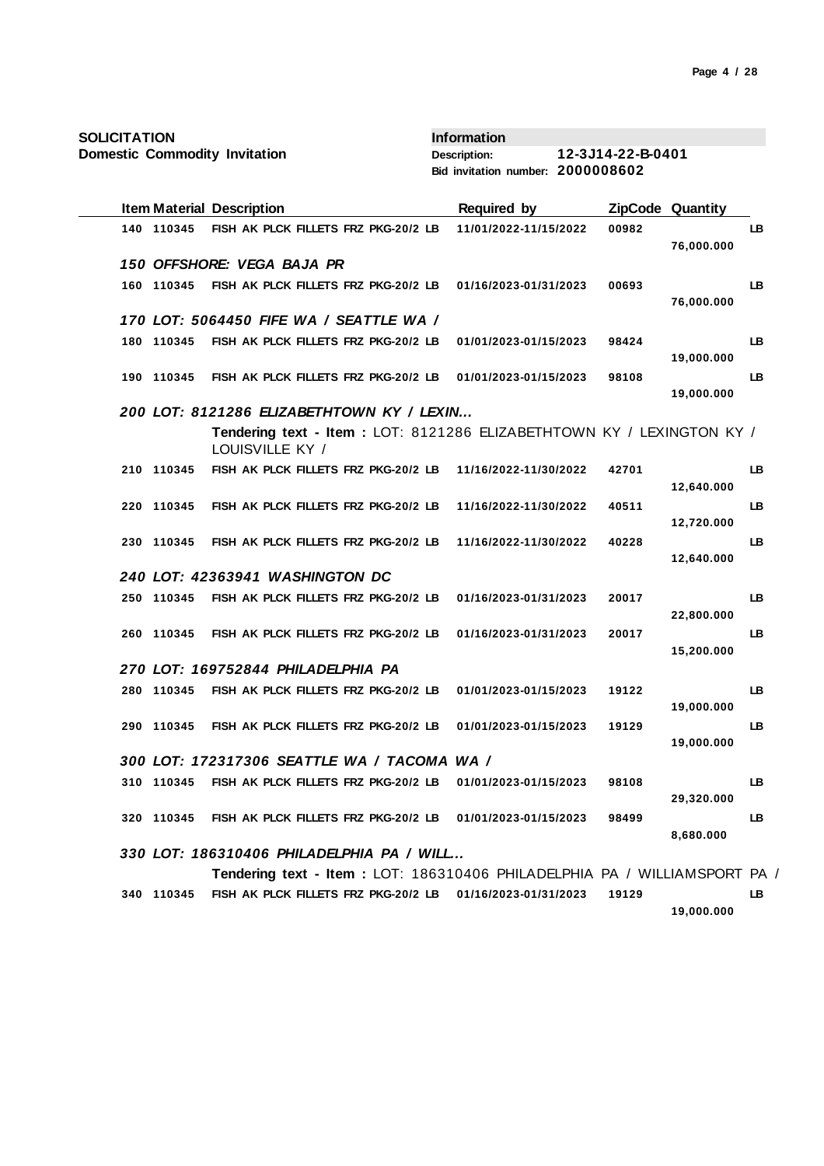| <b>SOLICITATION</b> |            |                                                                                          | <b>Information</b>                |                   |                         |     |
|---------------------|------------|------------------------------------------------------------------------------------------|-----------------------------------|-------------------|-------------------------|-----|
|                     |            | <b>Domestic Commodity Invitation</b>                                                     | <b>Description:</b>               | 12-3J14-22-B-0401 |                         |     |
|                     |            |                                                                                          | Bid invitation number: 2000008602 |                   |                         |     |
|                     |            | <b>Item Material Description</b>                                                         | <b>Required by</b>                |                   | <b>ZipCode Quantity</b> |     |
|                     | 140 110345 | FISH AK PLCK FILLETS FRZ PKG-20/2 LB                                                     | 11/01/2022-11/15/2022             | 00982             | 76,000.000              | LВ  |
|                     |            | 150 OFFSHORE: VEGA BAJA PR                                                               |                                   |                   |                         |     |
|                     | 160 110345 | FISH AK PLCK FILLETS FRZ PKG-20/2 LB                                                     | 01/16/2023-01/31/2023             | 00693             | 76,000.000              | LB  |
|                     |            | 170 LOT: 5064450 FIFE WA / SEATTLE WA /                                                  |                                   |                   |                         |     |
|                     | 180 110345 | FISH AK PLCK FILLETS FRZ PKG-20/2 LB                                                     | 01/01/2023-01/15/2023             | 98424             | 19,000.000              | LB  |
|                     | 190 110345 | FISH AK PLCK FILLETS FRZ PKG-20/2 LB                                                     | 01/01/2023-01/15/2023             | 98108             | 19,000.000              | LB  |
|                     |            | 200 LOT: 8121286 ELIZABETHTOWN KY / LEXIN                                                |                                   |                   |                         |     |
|                     |            | Tendering text - Item: LOT: 8121286 ELIZABETHTOWN KY / LEXINGTON KY /<br>LOUISVILLE KY / |                                   |                   |                         |     |
|                     | 210 110345 | FISH AK PLCK FILLETS FRZ PKG-20/2 LB                                                     | 11/16/2022-11/30/2022             | 42701             | 12,640.000              | LВ  |
|                     | 220 110345 | FISH AK PLCK FILLETS FRZ PKG-20/2 LB                                                     | 11/16/2022-11/30/2022             | 40511             | 12,720.000              | LB  |
|                     | 230 110345 | FISH AK PLCK FILLETS FRZ PKG-20/2 LB                                                     | 11/16/2022-11/30/2022             | 40228             | 12,640.000              | LB  |
|                     |            | 240 LOT: 42363941 WASHINGTON DC                                                          |                                   |                   |                         |     |
|                     | 250 110345 | FISH AK PLCK FILLETS FRZ PKG-20/2 LB                                                     | 01/16/2023-01/31/2023             | 20017             | 22,800.000              | LB  |
|                     | 260 110345 | FISH AK PLCK FILLETS FRZ PKG-20/2 LB                                                     | 01/16/2023-01/31/2023             | 20017             | 15,200.000              | LB  |
|                     |            | 270 LOT: 169752844 PHILADELPHIA PA                                                       |                                   |                   |                         |     |
|                     | 280 110345 | FISH AK PLCK FILLETS FRZ PKG-20/2 LB                                                     | 01/01/2023-01/15/2023             | 19122             | 19,000.000              | LB  |
|                     | 290 110345 | FISH AK PLCK FILLETS FRZ PKG-20/2 LB                                                     | 01/01/2023-01/15/2023             | 19129             |                         | LB  |
|                     |            | 300 LOT: 172317306 SEATTLE WA / TACOMA WA /                                              |                                   |                   | 19,000.000              |     |
|                     |            |                                                                                          |                                   |                   |                         |     |
|                     | 310 110345 | FISH AK PLCK FILLETS FRZ PKG-20/2 LB                                                     | 01/01/2023-01/15/2023             | 98108             | 29,320.000              | LB  |
|                     | 320 110345 | FISH AK PLCK FILLETS FRZ PKG-20/2 LB                                                     | 01/01/2023-01/15/2023             | 98499             | 8,680.000               | LB. |
|                     |            | 330 LOT: 186310406 PHILADELPHIA PA / WILL                                                |                                   |                   |                         |     |
|                     |            | Tendering text - Item: LOT: 186310406 PHILADELPHIA PA / WILLIAMSPORT PA /                |                                   |                   |                         |     |
|                     |            | 340 110345 FISH AK PLCK FILLETS FRZ PKG-20/2 LB 01/16/2023-01/31/2023                    |                                   | 19129             |                         | LB  |

**19,000.000**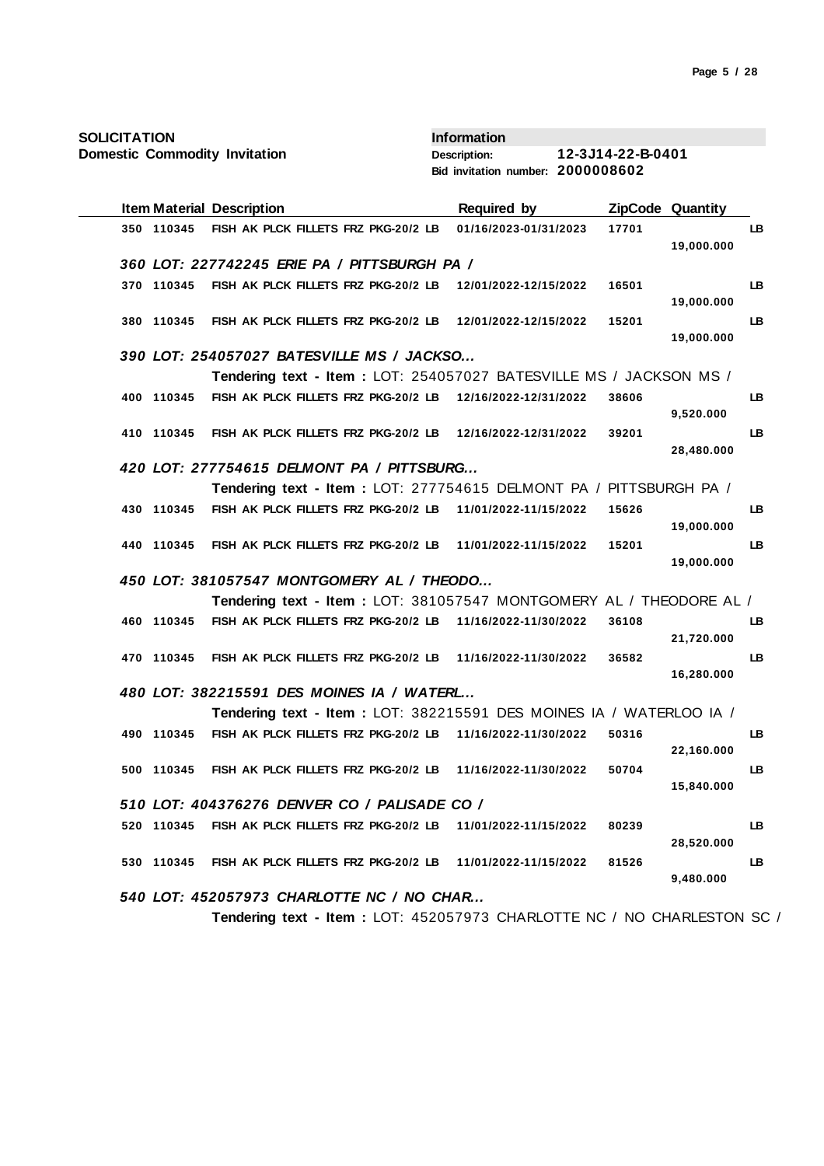| <b>SOLICITATION</b>                                                      | <b>Information</b>                |                           |
|--------------------------------------------------------------------------|-----------------------------------|---------------------------|
| <b>Domestic Commodity Invitation</b>                                     | <b>Description:</b>               | 12-3J14-22-B-0401         |
|                                                                          | Bid invitation number: 2000008602 |                           |
| <b>Item Material Description</b>                                         | <b>Required by</b>                | <b>ZipCode Quantity</b>   |
| 350 110345<br>FISH AK PLCK FILLETS FRZ PKG-20/2 LB                       | 01/16/2023-01/31/2023             | 17701<br>LB               |
|                                                                          |                                   | 19,000.000                |
| 360 LOT: 227742245 ERIE PA / PITTSBURGH PA /                             |                                   |                           |
| 370 110345<br>FISH AK PLCK FILLETS FRZ PKG-20/2 LB                       | 12/01/2022-12/15/2022             | LB<br>16501               |
|                                                                          |                                   | 19,000.000                |
| 380 110345<br>FISH AK PLCK FILLETS FRZ PKG-20/2 LB 12/01/2022-12/15/2022 |                                   | LB<br>15201<br>19,000.000 |
| 390 LOT: 254057027 BATESVILLE MS / JACKSO                                |                                   |                           |
| Tendering text - Item: LOT: 254057027 BATESVILLE MS / JACKSON MS /       |                                   |                           |
| FISH AK PLCK FILLETS FRZ PKG-20/2 LB 12/16/2022-12/31/2022<br>400 110345 |                                   | 38606<br>LB.              |
|                                                                          |                                   | 9,520.000                 |
| FISH AK PLCK FILLETS FRZ PKG-20/2 LB<br>410 110345                       | 12/16/2022-12/31/2022             | 39201<br>LB               |
|                                                                          |                                   | 28,480.000                |
| 420 LOT: 277754615 DELMONT PA / PITTSBURG                                |                                   |                           |
| Tendering text - Item : LOT: 277754615 DELMONT PA / PITTSBURGH PA /      |                                   |                           |
| FISH AK PLCK FILLETS FRZ PKG-20/2 LB<br>430 110345                       | 11/01/2022-11/15/2022             | 15626<br>LB               |
|                                                                          |                                   | 19,000.000                |
| FISH AK PLCK FILLETS FRZ PKG-20/2 LB<br>440 110345                       | 11/01/2022-11/15/2022             | 15201<br>LB               |
| 450 LOT: 381057547 MONTGOMERY AL / THEODO                                |                                   | 19,000.000                |
| Tendering text - Item: LOT: 381057547 MONTGOMERY AL / THEODORE AL /      |                                   |                           |
| FISH AK PLCK FILLETS FRZ PKG-20/2 LB<br>460 110345                       | 11/16/2022-11/30/2022             | LB<br>36108               |
|                                                                          |                                   | 21,720.000                |
| FISH AK PLCK FILLETS FRZ PKG-20/2 LB 11/16/2022-11/30/2022<br>470 110345 |                                   | 36582<br>LB               |
|                                                                          |                                   | 16,280.000                |
| 480 LOT: 382215591 DES MOINES IA / WATERL                                |                                   |                           |
| Tendering text - Item: LOT: 382215591 DES MOINES IA / WATERLOO IA /      |                                   |                           |
| FISH AK PLCK FILLETS FRZ PKG-20/2 LB<br>490 110345                       | 11/16/2022-11/30/2022             | LB<br>50316               |
|                                                                          |                                   | 22,160.000                |
| 500 110345 FISH AK PLCK FILLETS FRZ PKG-20/2 LB 11/16/2022-11/30/2022    |                                   | LB<br>50704               |
| 510 LOT: 404376276 DENVER CO / PALISADE CO /                             |                                   | 15,840.000                |
| 520 110345<br>FISH AK PLCK FILLETS FRZ PKG-20/2 LB                       | 11/01/2022-11/15/2022             | LB<br>80239               |
|                                                                          |                                   | 28,520.000                |
| 530 110345 FISH AK PLCK FILLETS FRZ PKG-20/2 LB                          | 11/01/2022-11/15/2022             | LB<br>81526               |
|                                                                          |                                   | 9,480.000                 |
| 540 LOT: 452057973 CHARLOTTE NC / NO CHAR                                |                                   |                           |

**Tendering text - Item :** LOT: 452057973 CHARLOTTE NC / NO CHARLESTON SC /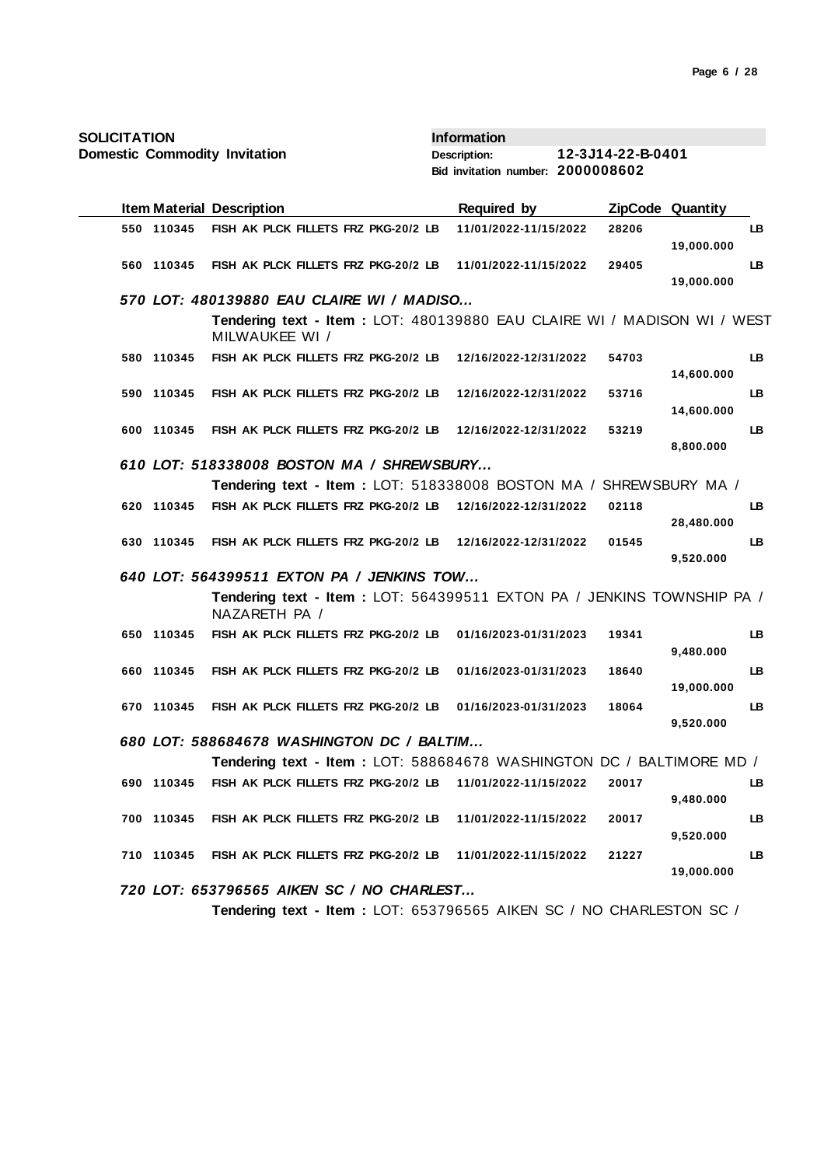| <b>SOLICITATION</b> |            |                                                                                           | <b>Information</b>                |                   |                         |     |
|---------------------|------------|-------------------------------------------------------------------------------------------|-----------------------------------|-------------------|-------------------------|-----|
|                     |            | <b>Domestic Commodity Invitation</b>                                                      | <b>Description:</b>               | 12-3J14-22-B-0401 |                         |     |
|                     |            |                                                                                           | Bid invitation number: 2000008602 |                   |                         |     |
|                     |            | <b>Item Material Description</b>                                                          | <b>Required by</b>                |                   | <b>ZipCode Quantity</b> |     |
|                     | 550 110345 | FISH AK PLCK FILLETS FRZ PKG-20/2 LB                                                      | 11/01/2022-11/15/2022             | 28206             |                         | LB. |
|                     |            |                                                                                           |                                   |                   | 19,000.000              |     |
|                     | 560 110345 | FISH AK PLCK FILLETS FRZ PKG-20/2 LB                                                      | 11/01/2022-11/15/2022             | 29405             |                         | LB  |
|                     |            |                                                                                           |                                   |                   | 19,000.000              |     |
|                     |            | 570 LOT: 480139880 EAU CLAIRE WI / MADISO                                                 |                                   |                   |                         |     |
|                     |            | Tendering text - Item: LOT: 480139880 EAU CLAIRE WI / MADISON WI / WEST<br>MILWAUKEE WI / |                                   |                   |                         |     |
|                     | 580 110345 | FISH AK PLCK FILLETS FRZ PKG-20/2 LB                                                      | 12/16/2022-12/31/2022             | 54703             |                         | LB. |
|                     |            |                                                                                           |                                   |                   | 14,600.000              |     |
|                     | 590 110345 | FISH AK PLCK FILLETS FRZ PKG-20/2 LB                                                      | 12/16/2022-12/31/2022             | 53716             | 14,600.000              | LB  |
|                     | 600 110345 | FISH AK PLCK FILLETS FRZ PKG-20/2 LB                                                      | 12/16/2022-12/31/2022             | 53219             |                         | LB  |
|                     |            |                                                                                           |                                   |                   | 8,800.000               |     |
|                     |            | 610 LOT: 518338008 BOSTON MA / SHREWSBURY                                                 |                                   |                   |                         |     |
|                     |            | Tendering text - Item: LOT: 518338008 BOSTON MA / SHREWSBURY MA /                         |                                   |                   |                         |     |
|                     | 620 110345 | FISH AK PLCK FILLETS FRZ PKG-20/2 LB                                                      | 12/16/2022-12/31/2022             | 02118             |                         | LB. |
|                     |            |                                                                                           |                                   |                   | 28,480.000              |     |
|                     | 630 110345 | FISH AK PLCK FILLETS FRZ PKG-20/2 LB                                                      | 12/16/2022-12/31/2022             | 01545             |                         | LB. |
|                     |            |                                                                                           |                                   |                   | 9,520.000               |     |
|                     |            | 640 LOT: 564399511 EXTON PA / JENKINS TOW                                                 |                                   |                   |                         |     |
|                     |            | Tendering text - Item: LOT: 564399511 EXTON PA / JENKINS TOWNSHIP PA /<br>NAZARETH PA /   |                                   |                   |                         |     |
|                     | 650 110345 | FISH AK PLCK FILLETS FRZ PKG-20/2 LB                                                      | 01/16/2023-01/31/2023             | 19341             |                         | LB. |
|                     |            |                                                                                           |                                   |                   | 9,480.000               |     |
|                     | 660 110345 | FISH AK PLCK FILLETS FRZ PKG-20/2 LB                                                      | 01/16/2023-01/31/2023             | 18640             | 19,000.000              | LB  |
|                     | 670 110345 | FISH AK PLCK FILLETS FRZ PKG-20/2 LB                                                      | 01/16/2023-01/31/2023             | 18064             |                         | LB. |
|                     |            |                                                                                           |                                   |                   | 9,520.000               |     |
|                     |            | 680 LOT: 588684678 WASHINGTON DC / BALTIM                                                 |                                   |                   |                         |     |
|                     |            | Tendering text - Item: LOT: 588684678 WASHINGTON DC / BALTIMORE MD /                      |                                   |                   |                         |     |
|                     | 690 110345 | FISH AK PLCK FILLETS FRZ PKG-20/2 LB                                                      | 11/01/2022-11/15/2022             | 20017             |                         | LB  |
|                     |            |                                                                                           |                                   |                   | 9,480.000               |     |
|                     | 700 110345 | FISH AK PLCK FILLETS FRZ PKG-20/2 LB                                                      | 11/01/2022-11/15/2022             | 20017             |                         | LB  |
|                     |            |                                                                                           |                                   |                   | 9,520.000               |     |
|                     | 710 110345 | FISH AK PLCK FILLETS FRZ PKG-20/2 LB                                                      | 11/01/2022-11/15/2022             | 21227             |                         | LB  |
|                     |            |                                                                                           |                                   |                   | 19,000.000              |     |
|                     |            | 720 LOT: 653796565 AIKEN SC / NO CHARLEST                                                 |                                   |                   |                         |     |

**Tendering text - Item :** LOT: 653796565 AIKEN SC / NO CHARLESTON SC /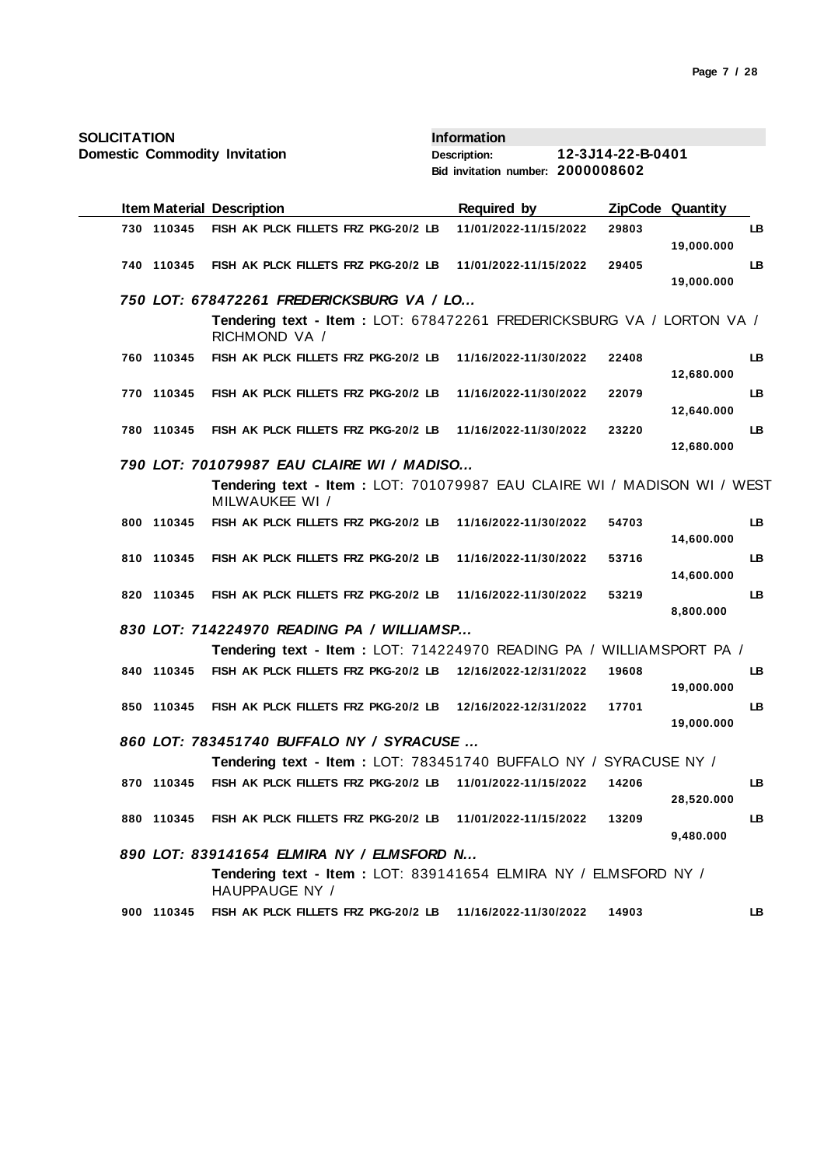| <b>SOLICITATION</b>                  |                                                                                           | <b>Information</b>                |                            |
|--------------------------------------|-------------------------------------------------------------------------------------------|-----------------------------------|----------------------------|
| <b>Domestic Commodity Invitation</b> |                                                                                           | <b>Description:</b>               | 12-3J14-22-B-0401          |
|                                      |                                                                                           | Bid invitation number: 2000008602 |                            |
|                                      | <b>Item Material Description</b>                                                          | <b>Required by</b>                | <b>ZipCode Quantity</b>    |
| 730 110345                           | FISH AK PLCK FILLETS FRZ PKG-20/2 LB                                                      | 11/01/2022-11/15/2022             | 29803<br>LB.<br>19,000.000 |
| 740 110345                           | FISH AK PLCK FILLETS FRZ PKG-20/2 LB                                                      | 11/01/2022-11/15/2022             | LB.<br>29405<br>19,000.000 |
|                                      | 750 LOT: 678472261 FREDERICKSBURG VA / LO                                                 |                                   |                            |
|                                      | Tendering text - Item: LOT: 678472261 FREDERICKSBURG VA / LORTON VA /<br>RICHMOND VA /    |                                   |                            |
| 760 110345                           | FISH AK PLCK FILLETS FRZ PKG-20/2 LB 11/16/2022-11/30/2022                                |                                   | 22408<br>LB.<br>12,680.000 |
| 770 110345                           | FISH AK PLCK FILLETS FRZ PKG-20/2 LB                                                      | 11/16/2022-11/30/2022             | LB.<br>22079<br>12,640.000 |
| 780 110345                           | FISH AK PLCK FILLETS FRZ PKG-20/2 LB                                                      | 11/16/2022-11/30/2022             | 23220<br>LB.<br>12,680.000 |
|                                      | 790 LOT: 701079987 EAU CLAIRE WI / MADISO                                                 |                                   |                            |
|                                      | Tendering text - Item: LOT: 701079987 EAU CLAIRE WI / MADISON WI / WEST<br>MILWAUKEE WI / |                                   |                            |
| 800 110345                           | FISH AK PLCK FILLETS FRZ PKG-20/2 LB 11/16/2022-11/30/2022                                |                                   | LB.<br>54703<br>14,600.000 |
| 810 110345                           | FISH AK PLCK FILLETS FRZ PKG-20/2 LB                                                      | 11/16/2022-11/30/2022             | 53716<br>LB.<br>14,600.000 |
| 820 110345                           | FISH AK PLCK FILLETS FRZ PKG-20/2 LB                                                      | 11/16/2022-11/30/2022             | LB.<br>53219<br>8,800.000  |
|                                      | 830 LOT: 714224970 READING PA / WILLIAMSP                                                 |                                   |                            |
|                                      | Tendering text - Item : LOT: 714224970 READING PA / WILLIAMSPORT PA /                     |                                   |                            |
| 840 110345                           | FISH AK PLCK FILLETS FRZ PKG-20/2 LB                                                      | 12/16/2022-12/31/2022             | 19608<br>LB.<br>19,000.000 |
| 850 110345                           | FISH AK PLCK FILLETS FRZ PKG-20/2 LB                                                      | 12/16/2022-12/31/2022             | 17701<br>LB.<br>19,000.000 |
|                                      | 860 LOT: 783451740 BUFFALO NY / SYRACUSE.                                                 |                                   |                            |
|                                      | Tendering text - Item : LOT: 783451740 BUFFALO NY / SYRACUSE NY /                         |                                   |                            |
| 870 110345                           | FISH AK PLCK FILLETS FRZ PKG-20/2 LB                                                      | 11/01/2022-11/15/2022             | 14206<br>LB.<br>28,520.000 |
| 880 110345                           | FISH AK PLCK FILLETS FRZ PKG-20/2 LB                                                      | 11/01/2022-11/15/2022             | 13209<br>LB.<br>9,480.000  |
|                                      | 890 LOT: 839141654 ELMIRA NY / ELMSFORD N                                                 |                                   |                            |
|                                      | Tendering text - Item: LOT: 839141654 ELMIRA NY / ELMSFORD NY /<br>HAUPPAUGE NY /         |                                   |                            |
| 900 110345                           | FISH AK PLCK FILLETS FRZ PKG-20/2 LB 11/16/2022-11/30/2022                                |                                   | 14903<br>LB.               |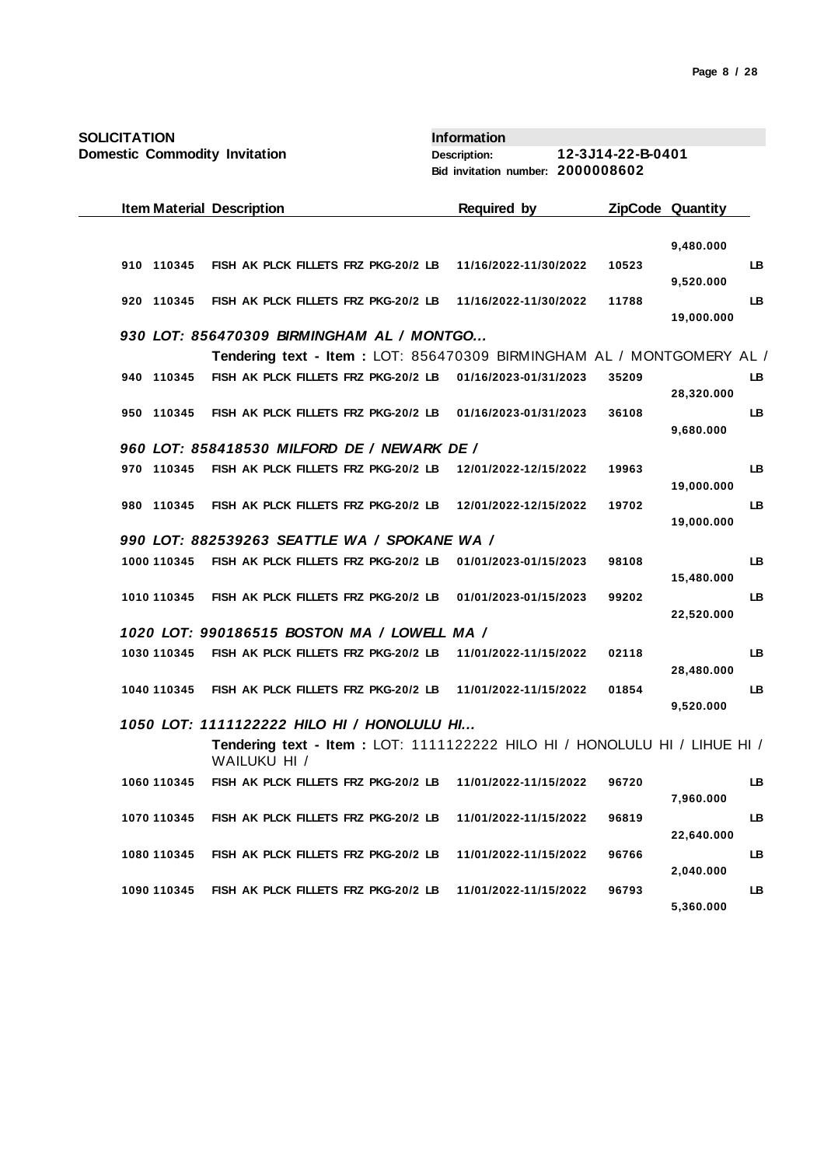| <b>SOLICITATION</b>                  |                                                                                            | <b>Information</b>                |                   |                         |           |
|--------------------------------------|--------------------------------------------------------------------------------------------|-----------------------------------|-------------------|-------------------------|-----------|
| <b>Domestic Commodity Invitation</b> |                                                                                            | <b>Description:</b>               | 12-3J14-22-B-0401 |                         |           |
|                                      |                                                                                            | Bid invitation number: 2000008602 |                   |                         |           |
| <b>Item Material Description</b>     |                                                                                            | <b>Required by</b>                |                   | <b>ZipCode Quantity</b> |           |
|                                      |                                                                                            |                                   |                   | 9,480.000               |           |
| 910 110345                           | FISH AK PLCK FILLETS FRZ PKG-20/2 LB                                                       | 11/16/2022-11/30/2022             | 10523             | 9,520.000               | LB        |
| 920 110345                           | FISH AK PLCK FILLETS FRZ PKG-20/2 LB                                                       | 11/16/2022-11/30/2022             | 11788             | 19,000.000              | LB        |
|                                      | 930 LOT: 856470309 BIRMINGHAM AL / MONTGO                                                  |                                   |                   |                         |           |
|                                      | Tendering text - Item: LOT: 856470309 BIRMINGHAM AL / MONTGOMERY AL /                      |                                   |                   |                         |           |
| 940 110345                           | FISH AK PLCK FILLETS FRZ PKG-20/2 LB                                                       | 01/16/2023-01/31/2023             | 35209             | 28,320.000              | LB.       |
| 950 110345                           | FISH AK PLCK FILLETS FRZ PKG-20/2 LB                                                       | 01/16/2023-01/31/2023             | 36108             | 9,680.000               | LB        |
|                                      | 960 LOT: 858418530 MILFORD DE / NEWARK DE /                                                |                                   |                   |                         |           |
| 970 110345                           | FISH AK PLCK FILLETS FRZ PKG-20/2 LB                                                       | 12/01/2022-12/15/2022             | 19963             | 19,000.000              | LB        |
| 980 110345                           | FISH AK PLCK FILLETS FRZ PKG-20/2 LB                                                       | 12/01/2022-12/15/2022             | 19702             | 19,000.000              | LB        |
|                                      | 990 LOT: 882539263 SEATTLE WA / SPOKANE WA /                                               |                                   |                   |                         |           |
| 1000 110345                          | FISH AK PLCK FILLETS FRZ PKG-20/2 LB                                                       | 01/01/2023-01/15/2023             | 98108             | 15,480.000              | LB        |
| 1010 110345                          | FISH AK PLCK FILLETS FRZ PKG-20/2 LB                                                       | 01/01/2023-01/15/2023             | 99202             | 22,520.000              | LB        |
|                                      | 1020 LOT: 990186515 BOSTON MA / LOWELL MA /                                                |                                   |                   |                         |           |
| 1030 110345                          | FISH AK PLCK FILLETS FRZ PKG-20/2 LB                                                       | 11/01/2022-11/15/2022             | 02118             | 28,480.000              | LB        |
| 1040 110345                          | FISH AK PLCK FILLETS FRZ PKG-20/2 LB                                                       | 11/01/2022-11/15/2022             | 01854             | 9,520.000               | LB        |
|                                      | 1050 LOT: 1111122222 HILO HI / HONOLULU HI                                                 |                                   |                   |                         |           |
|                                      | Tendering text - Item : LOT: 1111122222 HILO HI / HONOLULU HI / LIHUE HI /<br>WAILUKU HI / |                                   |                   |                         |           |
| 1060 110345                          | FISH AK PLCK FILLETS FRZ PKG-20/2 LB                                                       | 11/01/2022-11/15/2022             | 96720             | 7,960.000               | <b>LB</b> |
| 1070 110345                          | FISH AK PLCK FILLETS FRZ PKG-20/2 LB                                                       | 11/01/2022-11/15/2022             | 96819             | 22,640.000              | LB        |
| 1080 110345                          | FISH AK PLCK FILLETS FRZ PKG-20/2 LB                                                       | 11/01/2022-11/15/2022             | 96766             | 2,040.000               | LB        |
| 1090 110345                          | FISH AK PLCK FILLETS FRZ PKG-20/2 LB                                                       | 11/01/2022-11/15/2022             | 96793             | 5,360.000               | LB        |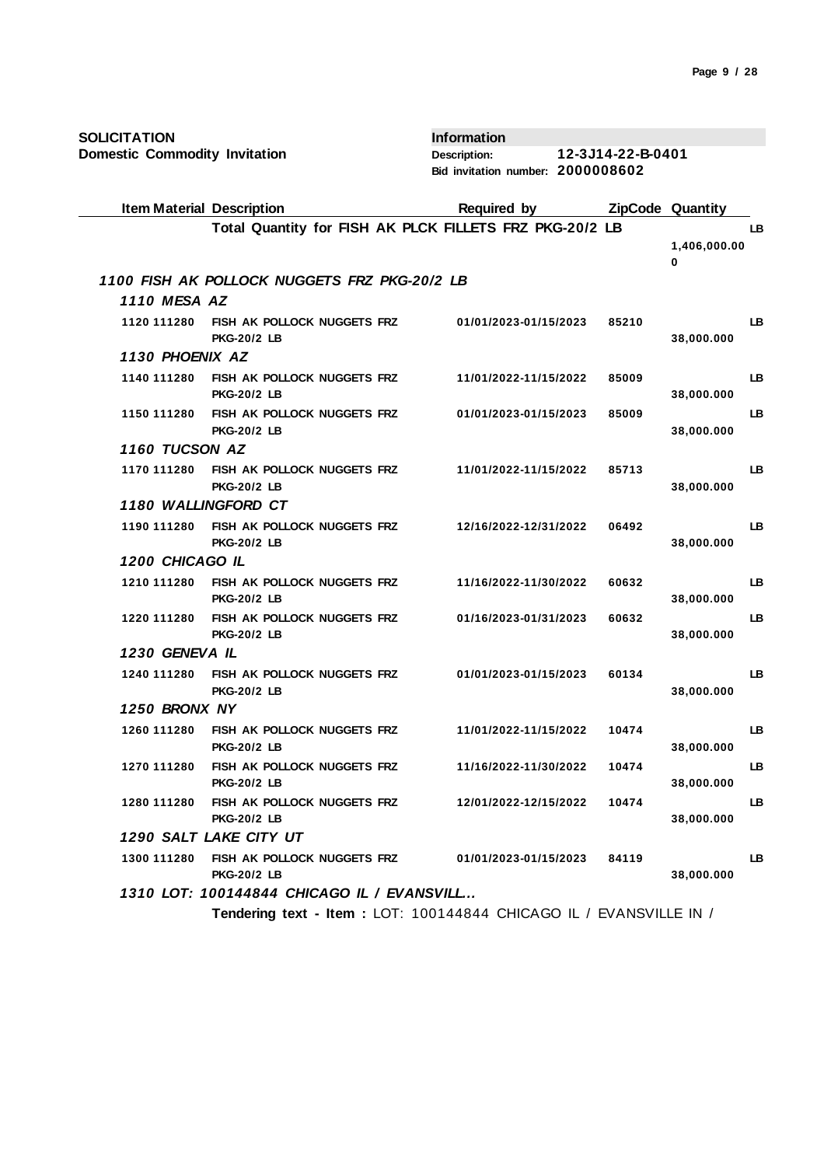| <b>SOLICITATION</b>                  |                                                          | <b>Information</b>                |                   |                         |    |
|--------------------------------------|----------------------------------------------------------|-----------------------------------|-------------------|-------------------------|----|
| <b>Domestic Commodity Invitation</b> |                                                          | <b>Description:</b>               | 12-3J14-22-B-0401 |                         |    |
|                                      |                                                          | Bid invitation number: 2000008602 |                   |                         |    |
| <b>Item Material Description</b>     |                                                          | <b>Required by</b>                |                   | <b>ZipCode Quantity</b> |    |
|                                      | Total Quantity for FISH AK PLCK FILLETS FRZ PKG-20/2 LB  |                                   |                   |                         | LB |
|                                      |                                                          |                                   |                   | 1,406,000.00<br>0       |    |
|                                      | 1100 FISH AK POLLOCK NUGGETS FRZ PKG-20/2 LB             |                                   |                   |                         |    |
| 1110 MESA AZ                         |                                                          |                                   |                   |                         |    |
| 1120 111280                          | <b>FISH AK POLLOCK NUGGETS FRZ</b><br><b>PKG-20/2 LB</b> | 01/01/2023-01/15/2023             | 85210             | 38,000.000              | LВ |
| 1130 PHOENIX AZ                      |                                                          |                                   |                   |                         |    |
| 1140 111280                          | <b>FISH AK POLLOCK NUGGETS FRZ</b><br><b>PKG-20/2 LB</b> | 11/01/2022-11/15/2022             | 85009             | 38,000.000              | LB |
| 1150 111280                          | <b>FISH AK POLLOCK NUGGETS FRZ</b><br><b>PKG-20/2 LB</b> | 01/01/2023-01/15/2023             | 85009             | 38,000.000              | LB |
| 1160 TUCSON AZ                       |                                                          |                                   |                   |                         |    |
| 1170 111280                          | FISH AK POLLOCK NUGGETS FRZ<br><b>PKG-20/2 LB</b>        | 11/01/2022-11/15/2022             | 85713             | 38,000.000              | LB |
|                                      | 1180 WALLINGFORD CT                                      |                                   |                   |                         |    |
| 1190 111280                          | FISH AK POLLOCK NUGGETS FRZ<br><b>PKG-20/2 LB</b>        | 12/16/2022-12/31/2022             | 06492             | 38,000.000              | LB |
| 1200 CHICAGO IL                      |                                                          |                                   |                   |                         |    |
| 1210 111280                          | FISH AK POLLOCK NUGGETS FRZ<br><b>PKG-20/2 LB</b>        | 11/16/2022-11/30/2022             | 60632             | 38,000.000              | LB |
| 1220 111280                          | FISH AK POLLOCK NUGGETS FRZ<br><b>PKG-20/2 LB</b>        | 01/16/2023-01/31/2023             | 60632             | 38,000.000              | LB |
| 1230 GENEVA IL                       |                                                          |                                   |                   |                         |    |
| 1240 111280                          | FISH AK POLLOCK NUGGETS FRZ<br><b>PKG-20/2 LB</b>        | 01/01/2023-01/15/2023             | 60134             | 38,000.000              | LB |
| 1250 BRONX NY                        |                                                          |                                   |                   |                         |    |
| 1260 111280                          | FISH AK POLLOCK NUGGETS FRZ<br><b>PKG-20/2 LB</b>        | 11/01/2022-11/15/2022             | 10474             | 38,000.000              | LB |
| 1270 111280                          | FISH AK POLLOCK NUGGETS FRZ<br><b>PKG-20/2 LB</b>        | 11/16/2022-11/30/2022             | 10474             | 38,000.000              | LB |
| 1280 111280                          | FISH AK POLLOCK NUGGETS FRZ<br><b>PKG-20/2 LB</b>        | 12/01/2022-12/15/2022             | 10474             | 38,000.000              | LB |
|                                      | 1290 SALT LAKE CITY UT                                   |                                   |                   |                         |    |
| 1300 111280                          | FISH AK POLLOCK NUGGETS FRZ<br><b>PKG-20/2 LB</b>        | 01/01/2023-01/15/2023             | 84119             | 38,000.000              | LB |
|                                      | 1310 LOT: 100144844 CHICAGO IL / EVANSVILL               |                                   |                   |                         |    |

**Tendering text - Item :** LOT: 100144844 CHICAGO IL / EVANSVILLE IN /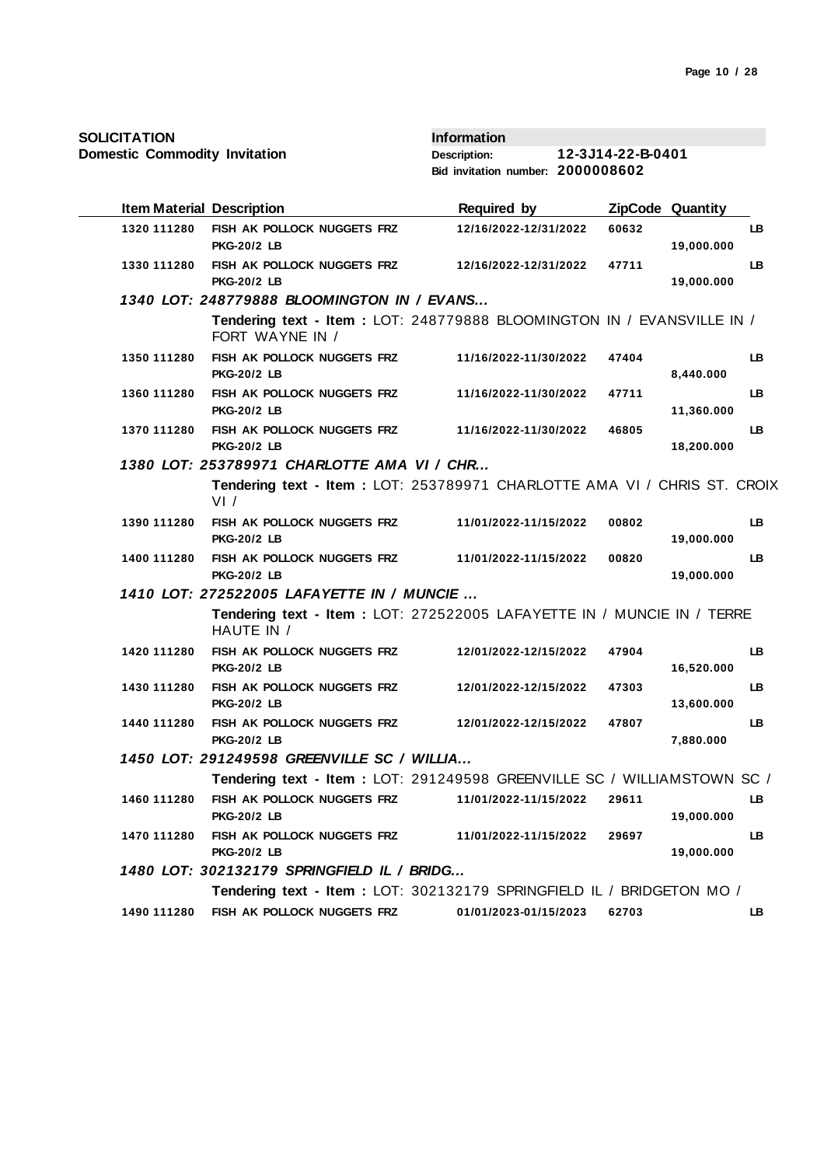**Domestic Commodity Invitation**

| <b>Item Material Description</b> |                                                                                            | <b>Required by</b>    |       | ZipCode Quantity |           |
|----------------------------------|--------------------------------------------------------------------------------------------|-----------------------|-------|------------------|-----------|
| 1320 111280                      | FISH AK POLLOCK NUGGETS FRZ<br><b>PKG-20/2 LB</b>                                          | 12/16/2022-12/31/2022 | 60632 | 19,000.000       | LB        |
| 1330 111280                      | FISH AK POLLOCK NUGGETS FRZ<br><b>PKG-20/2 LB</b>                                          | 12/16/2022-12/31/2022 | 47711 | 19,000.000       | LB        |
|                                  | 1340 LOT: 248779888 BLOOMINGTON IN / EVANS                                                 |                       |       |                  |           |
|                                  | Tendering text - Item : LOT: 248779888 BLOOMINGTON IN / EVANSVILLE IN /<br>FORT WAYNE IN / |                       |       |                  |           |
| 1350 111280                      | FISH AK POLLOCK NUGGETS FRZ<br><b>PKG-20/2 LB</b>                                          | 11/16/2022-11/30/2022 | 47404 | 8,440.000        | LB        |
| 1360 111280                      | FISH AK POLLOCK NUGGETS FRZ<br><b>PKG-20/2 LB</b>                                          | 11/16/2022-11/30/2022 | 47711 | 11,360.000       | LB        |
| 1370 111280                      | FISH AK POLLOCK NUGGETS FRZ<br><b>PKG-20/2 LB</b>                                          | 11/16/2022-11/30/2022 | 46805 | 18,200.000       | <b>LB</b> |
|                                  | 1380 LOT: 253789971 CHARLOTTE AMA VI / CHR                                                 |                       |       |                  |           |
|                                  | Tendering text - Item : LOT: 253789971 CHARLOTTE AMA VI / CHRIS ST. CROIX<br>VI /          |                       |       |                  |           |
| 1390 111280                      | FISH AK POLLOCK NUGGETS FRZ<br><b>PKG-20/2 LB</b>                                          | 11/01/2022-11/15/2022 | 00802 | 19,000.000       | LB        |
| 1400 111280                      | FISH AK POLLOCK NUGGETS FRZ<br><b>PKG-20/2 LB</b>                                          | 11/01/2022-11/15/2022 | 00820 | 19,000.000       | LB        |
|                                  | 1410 LOT: 272522005 LAFAYETTE IN / MUNCIE                                                  |                       |       |                  |           |
|                                  | Tendering text - Item : LOT: 272522005 LAFAYETTE IN / MUNCIE IN / TERRE<br>HAUTE IN /      |                       |       |                  |           |
| 1420 111280                      | FISH AK POLLOCK NUGGETS FRZ<br><b>PKG-20/2 LB</b>                                          | 12/01/2022-12/15/2022 | 47904 | 16,520.000       | LB        |
| 1430 111280                      | FISH AK POLLOCK NUGGETS FRZ<br><b>PKG-20/2 LB</b>                                          | 12/01/2022-12/15/2022 | 47303 | 13,600.000       | LB        |
| 1440 111280                      | FISH AK POLLOCK NUGGETS FRZ<br><b>PKG-20/2 LB</b>                                          | 12/01/2022-12/15/2022 | 47807 | 7,880.000        | LB        |
|                                  | 1450 LOT: 291249598 GREENVILLE SC / WILLIA                                                 |                       |       |                  |           |
|                                  | Tendering text - Item: LOT: 291249598 GREENVILLE SC / WILLIAMSTOWN SC /                    |                       |       |                  |           |
| 1460 111280                      | FISH AK POLLOCK NUGGETS FRZ<br><b>PKG-20/2 LB</b>                                          | 11/01/2022-11/15/2022 | 29611 | 19,000.000       | LB.       |
| 1470 111280                      | FISH AK POLLOCK NUGGETS FRZ<br><b>PKG-20/2 LB</b>                                          | 11/01/2022-11/15/2022 | 29697 | 19,000.000       | LB        |
|                                  | 1480 LOT: 302132179 SPRINGFIELD IL / BRIDG                                                 |                       |       |                  |           |
|                                  | Tendering text - Item : LOT: 302132179 SPRINGFIELD IL / BRIDGETON MO /                     |                       |       |                  |           |
| 1490 111280                      | FISH AK POLLOCK NUGGETS FRZ                                                                | 01/01/2023-01/15/2023 | 62703 |                  | LB        |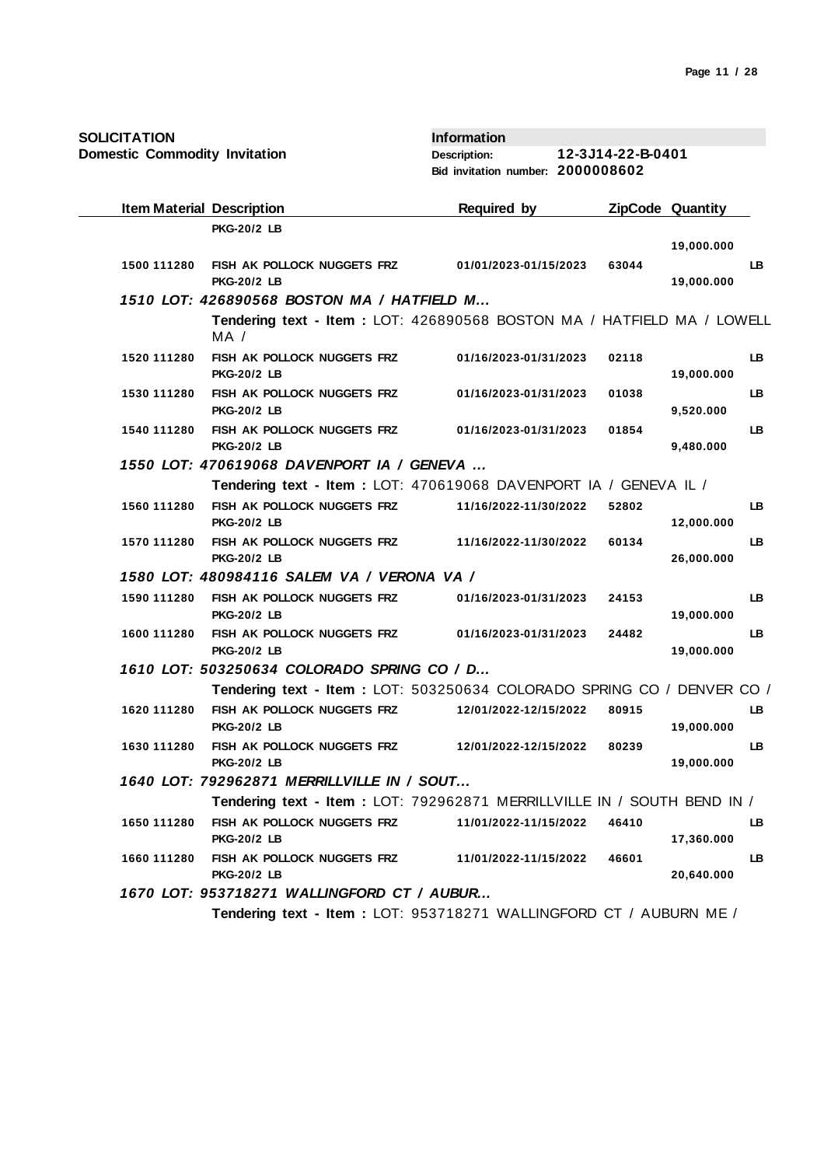**Domestic Commodity Invitation**

| <b>Item Material Description</b> |                                                                                 | <b>Required by</b>    | <b>ZipCode Quantity</b> |            |     |
|----------------------------------|---------------------------------------------------------------------------------|-----------------------|-------------------------|------------|-----|
|                                  | <b>PKG-20/2 LB</b>                                                              |                       |                         |            |     |
|                                  |                                                                                 |                       |                         | 19,000.000 |     |
| 1500 111280                      | FISH AK POLLOCK NUGGETS FRZ<br><b>PKG-20/2 LB</b>                               | 01/01/2023-01/15/2023 | 63044                   | 19,000.000 | LB. |
|                                  | 1510 LOT: 426890568 BOSTON MA / HATFIELD M                                      |                       |                         |            |     |
|                                  | Tendering text - Item : LOT: 426890568 BOSTON MA / HATFIELD MA / LOWELL<br>MA / |                       |                         |            |     |
| 1520 111280                      | FISH AK POLLOCK NUGGETS FRZ<br><b>PKG-20/2 LB</b>                               | 01/16/2023-01/31/2023 | 02118                   | 19,000.000 | LB. |
| 1530 111280                      | FISH AK POLLOCK NUGGETS FRZ<br><b>PKG-20/2 LB</b>                               | 01/16/2023-01/31/2023 | 01038                   | 9,520.000  | LB. |
| 1540 111280                      | FISH AK POLLOCK NUGGETS FRZ<br><b>PKG-20/2 LB</b>                               | 01/16/2023-01/31/2023 | 01854                   | 9,480.000  | LB. |
|                                  | 1550 LOT: 470619068 DAVENPORT IA / GENEVA                                       |                       |                         |            |     |
|                                  | Tendering text - Item: LOT: 470619068 DAVENPORT IA / GENEVA IL /                |                       |                         |            |     |
| 1560 111280                      | FISH AK POLLOCK NUGGETS FRZ<br><b>PKG-20/2 LB</b>                               | 11/16/2022-11/30/2022 | 52802                   | 12,000.000 | LB. |
| 1570 111280                      | FISH AK POLLOCK NUGGETS FRZ<br><b>PKG-20/2 LB</b>                               | 11/16/2022-11/30/2022 | 60134                   | 26,000.000 | LB. |
|                                  | 1580 LOT: 480984116 SALEM VA / VERONA VA /                                      |                       |                         |            |     |
| 1590 111280                      | FISH AK POLLOCK NUGGETS FRZ<br><b>PKG-20/2 LB</b>                               | 01/16/2023-01/31/2023 | 24153                   | 19,000.000 | LB. |
| 1600 111280                      | FISH AK POLLOCK NUGGETS FRZ<br><b>PKG-20/2 LB</b>                               | 01/16/2023-01/31/2023 | 24482                   | 19,000.000 | LB. |
|                                  | 1610 LOT: 503250634 COLORADO SPRING CO / D                                      |                       |                         |            |     |
|                                  | Tendering text - Item: LOT: 503250634 COLORADO SPRING CO / DENVER CO /          |                       |                         |            |     |
| 1620 111280                      | FISH AK POLLOCK NUGGETS FRZ<br><b>PKG-20/2 LB</b>                               | 12/01/2022-12/15/2022 | 80915                   | 19,000.000 | LB. |
| 1630 111280                      | FISH AK POLLOCK NUGGETS FRZ<br><b>PKG-20/2 LB</b>                               | 12/01/2022-12/15/2022 | 80239                   | 19,000.000 | LB. |
|                                  | 1640 LOT: 792962871 MERRILLVILLE IN / SOUT                                      |                       |                         |            |     |
|                                  | Tendering text - Item: LOT: 792962871 MERRILLVILLE IN / SOUTH BEND IN /         |                       |                         |            |     |
| 1650 111280                      | FISH AK POLLOCK NUGGETS FRZ<br><b>PKG-20/2 LB</b>                               | 11/01/2022-11/15/2022 | 46410                   | 17,360.000 | LB. |
| 1660 111280                      | FISH AK POLLOCK NUGGETS FRZ<br><b>PKG-20/2 LB</b>                               | 11/01/2022-11/15/2022 | 46601                   | 20,640.000 | LB. |
|                                  | 1670 LOT: 953718271 WALLINGFORD CT / AUBUR                                      |                       |                         |            |     |
|                                  | Tendering text - Item: LOT: 953718271 WALLINGFORD CT / AUBURN ME /              |                       |                         |            |     |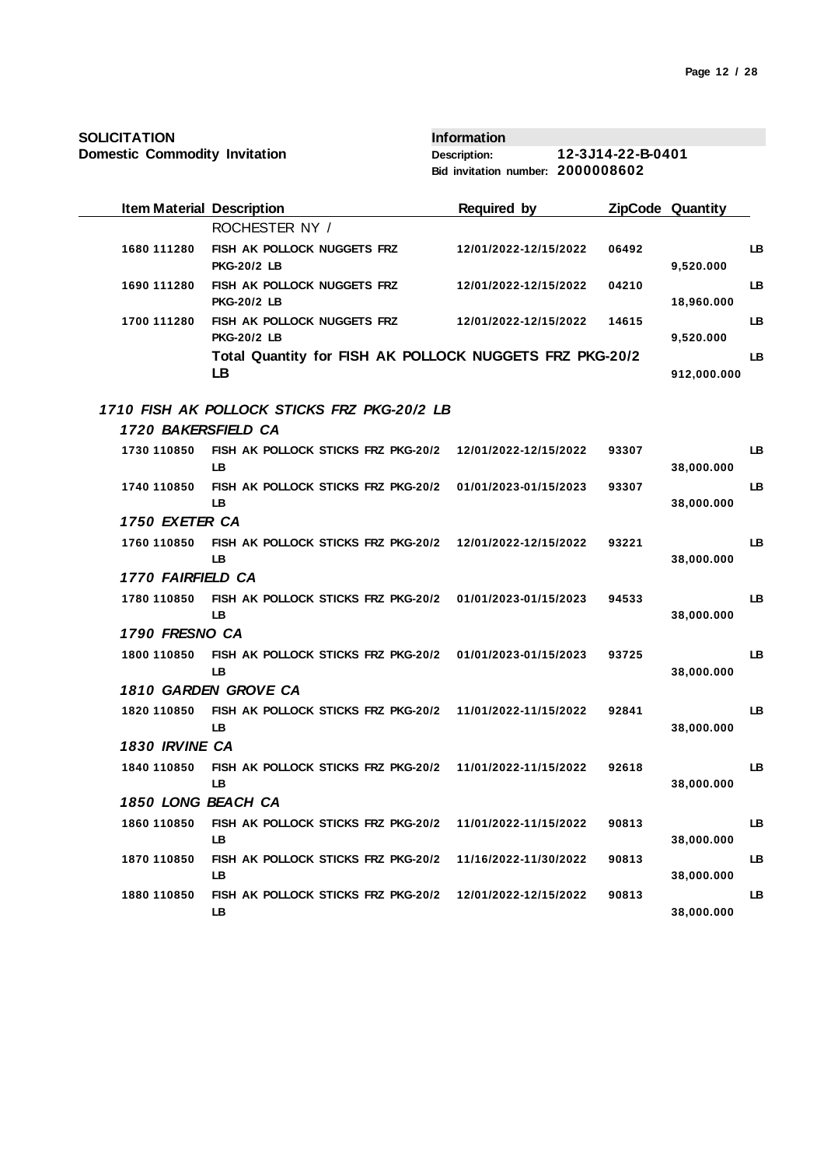| <b>SOLICITATION</b>                  |                                                                  | <b>Information</b>                |                   |                         |     |
|--------------------------------------|------------------------------------------------------------------|-----------------------------------|-------------------|-------------------------|-----|
| <b>Domestic Commodity Invitation</b> |                                                                  | <b>Description:</b>               | 12-3J14-22-B-0401 |                         |     |
|                                      |                                                                  | Bid invitation number: 2000008602 |                   |                         |     |
| <b>Item Material Description</b>     |                                                                  | <b>Required by</b>                |                   | <b>ZipCode Quantity</b> |     |
|                                      | ROCHESTER NY /                                                   |                                   |                   |                         |     |
| 1680 111280                          | FISH AK POLLOCK NUGGETS FRZ<br><b>PKG-20/2 LB</b>                | 12/01/2022-12/15/2022             | 06492             | 9,520.000               | LB. |
| 1690 111280                          | FISH AK POLLOCK NUGGETS FRZ<br><b>PKG-20/2 LB</b>                | 12/01/2022-12/15/2022             | 04210             | 18,960.000              | LB. |
| 1700 111280                          | FISH AK POLLOCK NUGGETS FRZ<br><b>PKG-20/2 LB</b>                | 12/01/2022-12/15/2022             | 14615             | 9,520.000               | LB  |
|                                      | Total Quantity for FISH AK POLLOCK NUGGETS FRZ PKG-20/2<br>LB    |                                   |                   | 912,000.000             | LB  |
|                                      | 1710 FISH AK POLLOCK STICKS FRZ PKG-20/2 LB                      |                                   |                   |                         |     |
| 1720 BAKERSFIELD CA                  |                                                                  |                                   |                   |                         |     |
| 1730 110850                          | FISH AK POLLOCK STICKS FRZ PKG-20/2<br>LB                        | 12/01/2022-12/15/2022             | 93307             | 38,000.000              | LB. |
| 1740 110850                          | FISH AK POLLOCK STICKS FRZ PKG-20/2<br>LB                        | 01/01/2023-01/15/2023             | 93307             | 38,000.000              | LB  |
| 1750 EXETER CA                       |                                                                  |                                   |                   |                         |     |
| 1760 110850                          | FISH AK POLLOCK STICKS FRZ PKG-20/2 12/01/2022-12/15/2022<br>LB  |                                   | 93221             | 38,000.000              | LB  |
| 1770 FAIRFIELD CA                    |                                                                  |                                   |                   |                         |     |
| 1780 110850                          | FISH AK POLLOCK STICKS FRZ PKG-20/2<br>LB                        | 01/01/2023-01/15/2023             | 94533             | 38,000.000              | LB  |
| 1790 FRESNO CA                       |                                                                  |                                   |                   |                         |     |
| 1800 110850                          | FISH AK POLLOCK STICKS FRZ PKG-20/2 01/01/2023-01/15/2023<br>LB  |                                   | 93725             | 38,000.000              | LB  |
|                                      | 1810 GARDEN GROVE CA                                             |                                   |                   |                         |     |
| 1820 110850                          | FISH AK POLLOCK STICKS FRZ PKG-20/2 11/01/2022-11/15/2022<br>LB. |                                   | 92841             | 38,000.000              | LB  |
| 1830 IRVINE CA                       |                                                                  |                                   |                   |                         |     |
| 1840 110850                          | FISH AK POLLOCK STICKS FRZ PKG-20/2<br>LB.                       | 11/01/2022-11/15/2022             | 92618             | 38,000.000              | LB. |
| 1850 LONG BEACH CA                   |                                                                  |                                   |                   |                         |     |
| 1860 110850                          | FISH AK POLLOCK STICKS FRZ PKG-20/2<br>LB                        | 11/01/2022-11/15/2022             | 90813             | 38,000.000              | LB. |
| 1870 110850                          | FISH AK POLLOCK STICKS FRZ PKG-20/2<br>LB                        | 11/16/2022-11/30/2022             | 90813             | 38,000.000              | LB  |
| 1880 110850                          | FISH AK POLLOCK STICKS FRZ PKG-20/2<br>LB.                       | 12/01/2022-12/15/2022             | 90813             | 38,000.000              | LB. |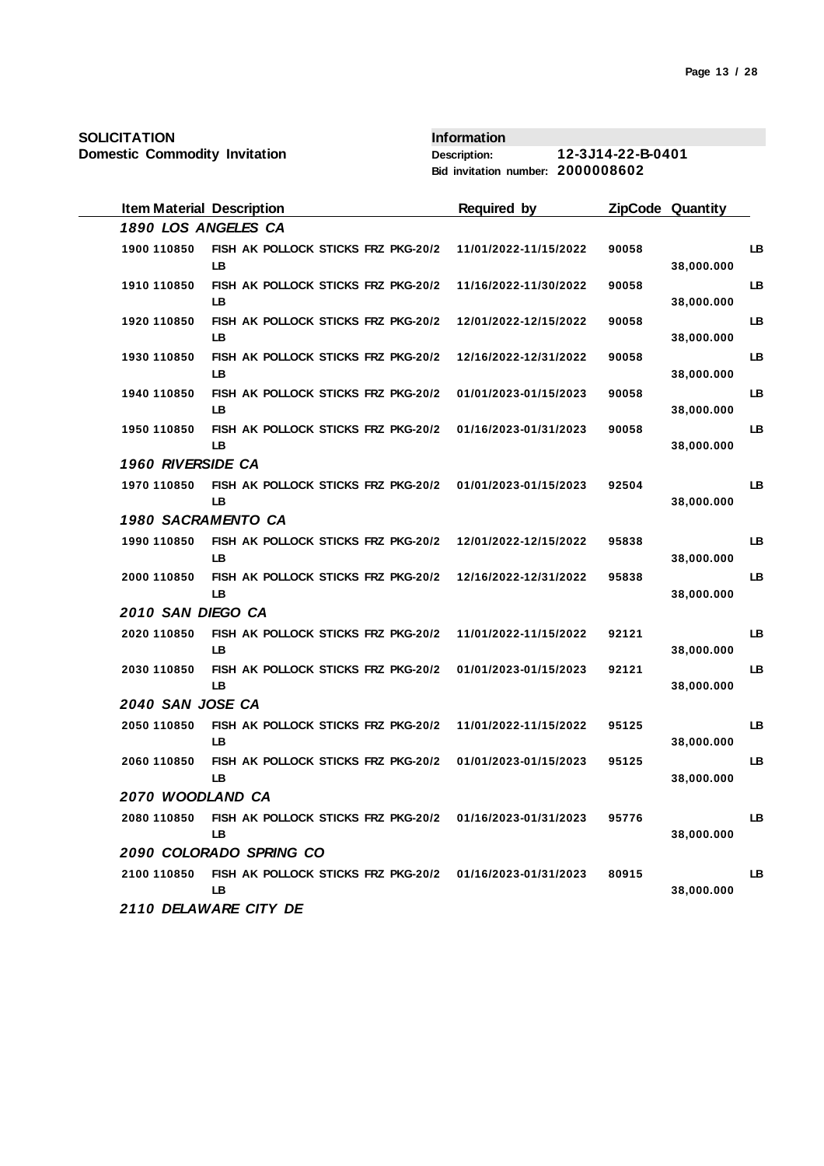| <b>Domestic Commodity Invitation</b> |                                                           | 12-3J14-22-B-0401<br>Description:<br>Bid invitation number: 2000008602 |       |                         |    |
|--------------------------------------|-----------------------------------------------------------|------------------------------------------------------------------------|-------|-------------------------|----|
| <b>Item Material Description</b>     |                                                           | <b>Required by</b>                                                     |       | <b>ZipCode Quantity</b> |    |
| 1890 LOS ANGELES CA                  |                                                           |                                                                        |       |                         |    |
| 1900 110850<br>LB                    | FISH AK POLLOCK STICKS FRZ PKG-20/2                       | 11/01/2022-11/15/2022                                                  | 90058 | 38,000.000              | LB |
| 1910 110850<br>LB                    | FISH AK POLLOCK STICKS FRZ PKG-20/2                       | 11/16/2022-11/30/2022                                                  | 90058 | 38,000.000              | LB |
| 1920 110850<br>LB                    | FISH AK POLLOCK STICKS FRZ PKG-20/2                       | 12/01/2022-12/15/2022                                                  | 90058 | 38,000.000              | LB |
| 1930 110850<br>LB                    | FISH AK POLLOCK STICKS FRZ PKG-20/2                       | 12/16/2022-12/31/2022                                                  | 90058 | 38,000.000              | LB |
| 1940 110850<br>LВ                    | FISH AK POLLOCK STICKS FRZ PKG-20/2                       | 01/01/2023-01/15/2023                                                  | 90058 | 38,000.000              | LB |
| 1950 110850<br>LB                    | FISH AK POLLOCK STICKS FRZ PKG-20/2                       | 01/16/2023-01/31/2023                                                  | 90058 | 38,000.000              | LB |
| 1960 RIVERSIDE CA                    |                                                           |                                                                        |       |                         |    |
| 1970 110850<br>LB                    | FISH AK POLLOCK STICKS FRZ PKG-20/2                       | 01/01/2023-01/15/2023                                                  | 92504 | 38,000.000              | LB |
| 1980 SACRAMENTO CA                   |                                                           |                                                                        |       |                         |    |
| 1990 110850<br><b>LB</b>             | FISH AK POLLOCK STICKS FRZ PKG-20/2                       | 12/01/2022-12/15/2022                                                  | 95838 | 38,000.000              | LB |
| 2000 110850<br>LB                    | FISH AK POLLOCK STICKS FRZ PKG-20/2                       | 12/16/2022-12/31/2022                                                  | 95838 | 38,000.000              | LB |
| 2010 SAN DIEGO CA                    |                                                           |                                                                        |       |                         |    |
| 2020 110850<br>LB                    | FISH AK POLLOCK STICKS FRZ PKG-20/2                       | 11/01/2022-11/15/2022                                                  | 92121 | 38,000.000              | LB |
| 2030 110850<br>LВ                    | FISH AK POLLOCK STICKS FRZ PKG-20/2                       | 01/01/2023-01/15/2023                                                  | 92121 | 38,000.000              | LB |
| 2040 SAN JOSE CA                     |                                                           |                                                                        |       |                         |    |
| 2050 110850<br>LB                    | FISH AK POLLOCK STICKS FRZ PKG-20/2                       | 11/01/2022-11/15/2022                                                  | 95125 | 38,000.000              | LB |
| 2060 110850<br>LВ                    | FISH AK POLLOCK STICKS FRZ PKG-20/2                       | 01/01/2023-01/15/2023                                                  | 95125 | 38,000.000              | LB |
| 2070 WOODLAND CA                     |                                                           |                                                                        |       |                         |    |
| 2080 110850<br>LB.                   | FISH AK POLLOCK STICKS FRZ PKG-20/2 01/16/2023-01/31/2023 |                                                                        | 95776 | 38,000.000              | LB |
| 2090 COLORADO SPRING CO              |                                                           |                                                                        |       |                         |    |
| 2100 110850<br>LB                    | FISH AK POLLOCK STICKS FRZ PKG-20/2 01/16/2023-01/31/2023 |                                                                        | 80915 | 38,000.000              | LB |
| 2110 DELAWARE CITY DE                |                                                           |                                                                        |       |                         |    |

**Information**

**SOLICITATION**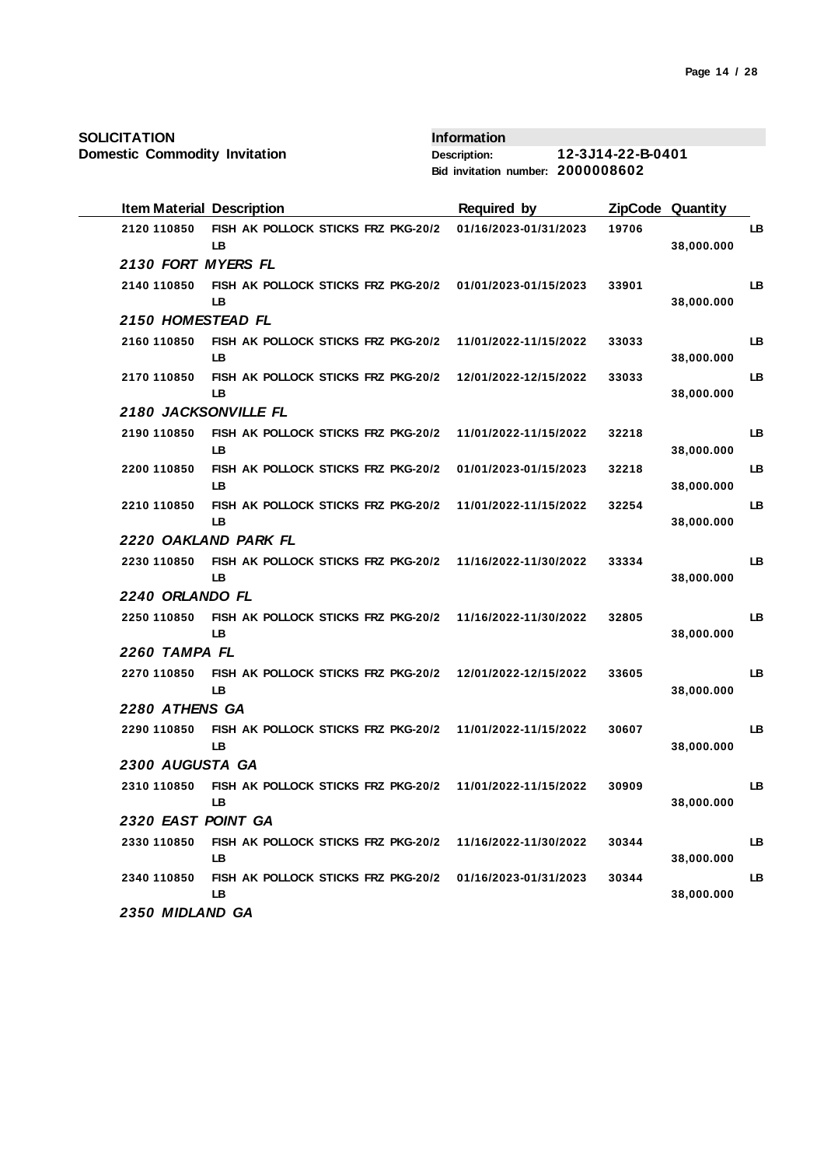**Domestic Commodity Invitation**

| <b>Item Material Description</b> |                                                  | <b>Required by</b>    |       | ZipCode Quantity |    |
|----------------------------------|--------------------------------------------------|-----------------------|-------|------------------|----|
| 2120 110850                      | FISH AK POLLOCK STICKS FRZ PKG-20/2<br><b>LB</b> | 01/16/2023-01/31/2023 | 19706 | 38,000.000       | LB |
| 2130 FORT MYERS FL               |                                                  |                       |       |                  |    |
| 2140 110850                      | FISH AK POLLOCK STICKS FRZ PKG-20/2<br>LB        | 01/01/2023-01/15/2023 | 33901 | 38,000.000       | LB |
| 2150 HOMESTEAD FL                |                                                  |                       |       |                  |    |
| 2160 110850                      | FISH AK POLLOCK STICKS FRZ PKG-20/2<br>LВ        | 11/01/2022-11/15/2022 | 33033 | 38,000.000       | LB |
| 2170 110850                      | FISH AK POLLOCK STICKS FRZ PKG-20/2<br>LВ        | 12/01/2022-12/15/2022 | 33033 | 38,000.000       | LB |
| 2180 JACKSONVILLE FL             |                                                  |                       |       |                  |    |
| 2190 110850                      | FISH AK POLLOCK STICKS FRZ PKG-20/2<br>LB.       | 11/01/2022-11/15/2022 | 32218 | 38,000.000       | LB |
| 2200 110850                      | FISH AK POLLOCK STICKS FRZ PKG-20/2<br><b>LB</b> | 01/01/2023-01/15/2023 | 32218 | 38,000.000       | LB |
| 2210 110850                      | FISH AK POLLOCK STICKS FRZ PKG-20/2<br>LB        | 11/01/2022-11/15/2022 | 32254 | 38,000.000       | LB |
|                                  | 2220 OAKLAND PARK FL                             |                       |       |                  |    |
| 2230 110850                      | FISH AK POLLOCK STICKS FRZ PKG-20/2<br><b>LB</b> | 11/16/2022-11/30/2022 | 33334 | 38,000.000       | LB |
| 2240 ORLANDO FL                  |                                                  |                       |       |                  |    |
| 2250 110850                      | FISH AK POLLOCK STICKS FRZ PKG-20/2<br>LB        | 11/16/2022-11/30/2022 | 32805 | 38,000.000       | LВ |
| 2260 TAMPA FL                    |                                                  |                       |       |                  |    |
| 2270 110850                      | FISH AK POLLOCK STICKS FRZ PKG-20/2<br>LB        | 12/01/2022-12/15/2022 | 33605 | 38,000.000       | LB |
| 2280 ATHENS GA                   |                                                  |                       |       |                  |    |
| 2290 110850                      | FISH AK POLLOCK STICKS FRZ PKG-20/2<br>LB        | 11/01/2022-11/15/2022 | 30607 | 38,000.000       | LB |
| 2300 AUGUSTA GA                  |                                                  |                       |       |                  |    |
| 2310 110850                      | FISH AK POLLOCK STICKS FRZ PKG-20/2<br><b>LB</b> | 11/01/2022-11/15/2022 | 30909 | 38,000.000       | LB |
| 2320 EAST POINT GA               |                                                  |                       |       |                  |    |
| 2330 110850                      | FISH AK POLLOCK STICKS FRZ PKG-20/2<br>LB        | 11/16/2022-11/30/2022 | 30344 | 38,000.000       | LB |
| 2340 110850                      | FISH AK POLLOCK STICKS FRZ PKG-20/2<br><b>LB</b> | 01/16/2023-01/31/2023 | 30344 | 38,000.000       | LB |
| 2350 MIDLAND GA                  |                                                  |                       |       |                  |    |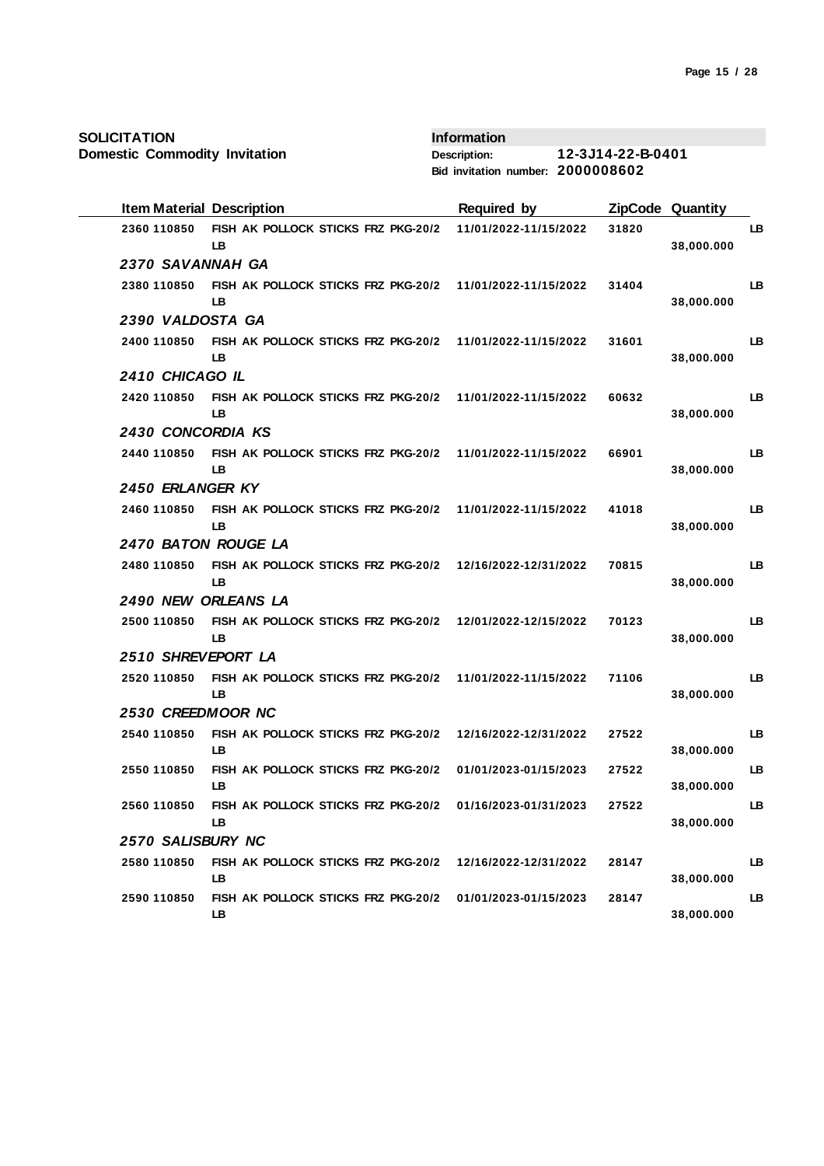**Domestic Commodity Invitation**

| <b>Item Material Description</b> |                                            | <b>Required by</b>    |       | <b>ZipCode Quantity</b> |    |
|----------------------------------|--------------------------------------------|-----------------------|-------|-------------------------|----|
| 2360 110850                      | FISH AK POLLOCK STICKS FRZ PKG-20/2<br>LВ  | 11/01/2022-11/15/2022 | 31820 | 38,000.000              | LВ |
| 2370 SAVANNAH GA                 |                                            |                       |       |                         |    |
| 2380 110850                      | FISH AK POLLOCK STICKS FRZ PKG-20/2<br>LB  | 11/01/2022-11/15/2022 | 31404 | 38,000.000              | LB |
| 2390 VALDOSTA GA                 |                                            |                       |       |                         |    |
| 2400 110850                      | FISH AK POLLOCK STICKS FRZ PKG-20/2<br>LВ  | 11/01/2022-11/15/2022 | 31601 | 38,000.000              | LВ |
| 2410 CHICAGO IL                  |                                            |                       |       |                         |    |
| 2420 110850                      | FISH AK POLLOCK STICKS FRZ PKG-20/2<br>LВ  | 11/01/2022-11/15/2022 | 60632 | 38,000.000              | LВ |
| 2430 CONCORDIA KS                |                                            |                       |       |                         |    |
| 2440 110850                      | FISH AK POLLOCK STICKS FRZ PKG-20/2<br>LB  | 11/01/2022-11/15/2022 | 66901 | 38,000.000              | LB |
| 2450 ERLANGER KY                 |                                            |                       |       |                         |    |
| 2460 110850                      | FISH AK POLLOCK STICKS FRZ PKG-20/2<br>LВ  | 11/01/2022-11/15/2022 | 41018 | 38,000.000              | LB |
| 2470 BATON ROUGE LA              |                                            |                       |       |                         |    |
| 2480 110850                      | FISH AK POLLOCK STICKS FRZ PKG-20/2<br>LB  | 12/16/2022-12/31/2022 | 70815 | 38,000.000              | LB |
| 2490 NEW ORLEANS LA              |                                            |                       |       |                         |    |
| 2500 110850                      | FISH AK POLLOCK STICKS FRZ PKG-20/2<br>LB  | 12/01/2022-12/15/2022 | 70123 | 38,000.000              | LB |
| 2510 SHREVEPORT LA               |                                            |                       |       |                         |    |
| 2520 110850                      | FISH AK POLLOCK STICKS FRZ PKG-20/2<br>LB  | 11/01/2022-11/15/2022 | 71106 | 38,000.000              | LB |
| 2530 CREEDMOOR NC                |                                            |                       |       |                         |    |
| 2540 110850                      | FISH AK POLLOCK STICKS FRZ PKG-20/2<br>LB  | 12/16/2022-12/31/2022 | 27522 | 38,000.000              | LB |
| 2550 110850                      | FISH AK POLLOCK STICKS FRZ PKG-20/2<br>LB  | 01/01/2023-01/15/2023 | 27522 | 38,000.000              | LB |
| 2560 110850                      | FISH AK POLLOCK STICKS FRZ PKG-20/2<br>LВ  | 01/16/2023-01/31/2023 | 27522 | 38,000.000              | LB |
| 2570 SALISBURY NC                |                                            |                       |       |                         |    |
| 2580 110850                      | FISH AK POLLOCK STICKS FRZ PKG-20/2<br>LB. | 12/16/2022-12/31/2022 | 28147 | 38,000.000              | LB |
| 2590 110850                      | FISH AK POLLOCK STICKS FRZ PKG-20/2<br>LB. | 01/01/2023-01/15/2023 | 28147 | 38,000.000              | LB |
|                                  |                                            |                       |       |                         |    |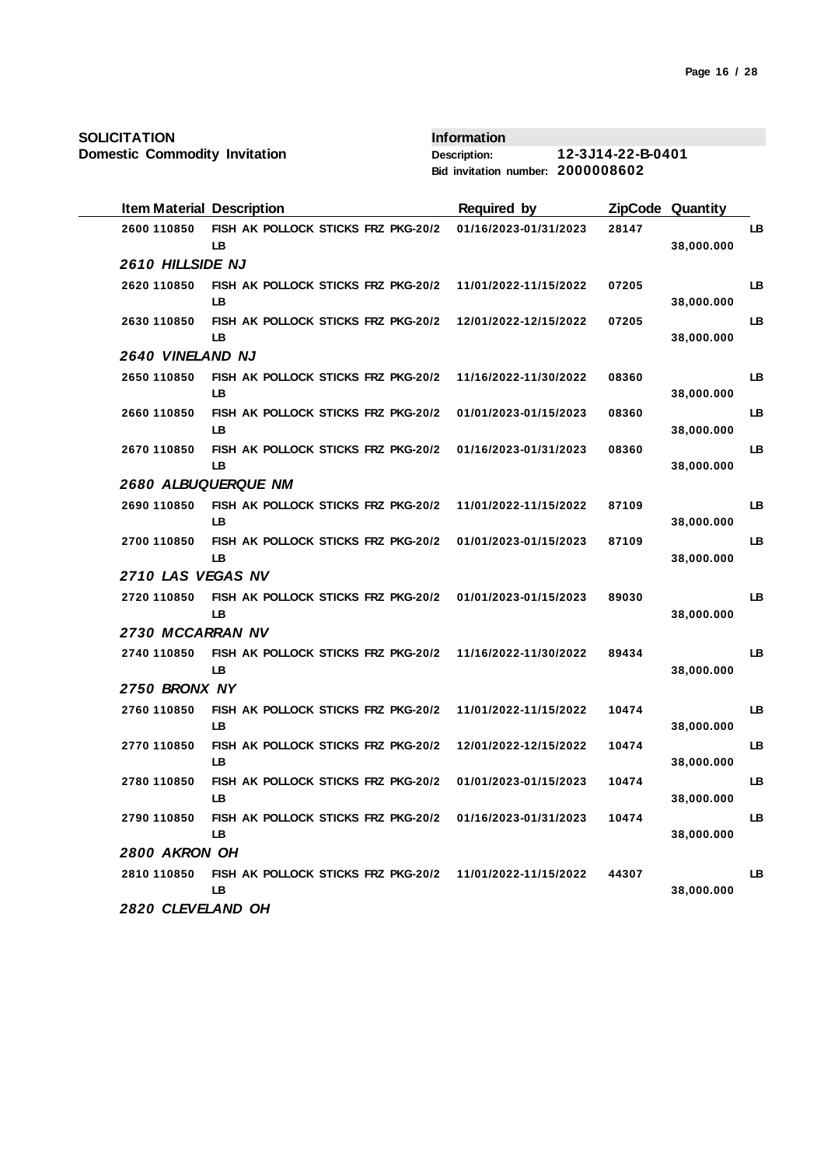**Domestic Commodity Invitation**

| <b>Item Material Description</b> |                                                  | <b>Required by</b>    |       | ZipCode Quantity |    |
|----------------------------------|--------------------------------------------------|-----------------------|-------|------------------|----|
| 2600 110850                      | FISH AK POLLOCK STICKS FRZ PKG-20/2<br>LB        | 01/16/2023-01/31/2023 | 28147 | 38,000.000       | LВ |
| 2610 HILLSIDE NJ                 |                                                  |                       |       |                  |    |
| 2620 110850                      | FISH AK POLLOCK STICKS FRZ PKG-20/2<br><b>LB</b> | 11/01/2022-11/15/2022 | 07205 | 38,000.000       | LB |
| 2630 110850                      | FISH AK POLLOCK STICKS FRZ PKG-20/2<br>LВ        | 12/01/2022-12/15/2022 | 07205 | 38,000.000       | LB |
| <b>2640 VINELAND NJ</b>          |                                                  |                       |       |                  |    |
| 2650 110850                      | FISH AK POLLOCK STICKS FRZ PKG-20/2<br>LВ        | 11/16/2022-11/30/2022 | 08360 | 38,000.000       | LB |
| 2660 110850                      | FISH AK POLLOCK STICKS FRZ PKG-20/2<br>LB        | 01/01/2023-01/15/2023 | 08360 | 38,000.000       | LB |
| 2670 110850                      | FISH AK POLLOCK STICKS FRZ PKG-20/2<br>LB        | 01/16/2023-01/31/2023 | 08360 | 38,000.000       | LB |
| 2680 ALBUQUERQUE NM              |                                                  |                       |       |                  |    |
| 2690 110850                      | FISH AK POLLOCK STICKS FRZ PKG-20/2<br>LB        | 11/01/2022-11/15/2022 | 87109 | 38,000.000       | LB |
| 2700 110850                      | FISH AK POLLOCK STICKS FRZ PKG-20/2<br>LB        | 01/01/2023-01/15/2023 | 87109 | 38,000.000       | LB |
| 2710 LAS VEGAS NV                |                                                  |                       |       |                  |    |
| 2720 110850                      | FISH AK POLLOCK STICKS FRZ PKG-20/2<br>LB        | 01/01/2023-01/15/2023 | 89030 | 38,000.000       | LB |
| 2730 MCCARRAN NV                 |                                                  |                       |       |                  |    |
| 2740 110850                      | FISH AK POLLOCK STICKS FRZ PKG-20/2<br>LB        | 11/16/2022-11/30/2022 | 89434 | 38,000.000       | LB |
| 2750 BRONX NY                    |                                                  |                       |       |                  |    |
| 2760 110850                      | FISH AK POLLOCK STICKS FRZ PKG-20/2<br>LB        | 11/01/2022-11/15/2022 | 10474 | 38,000.000       | LB |
| 2770 110850                      | FISH AK POLLOCK STICKS FRZ PKG-20/2<br>LB        | 12/01/2022-12/15/2022 | 10474 | 38,000.000       | LВ |
| 2780 110850                      | FISH AK POLLOCK STICKS FRZ PKG-20/2<br>LВ        | 01/01/2023-01/15/2023 | 10474 | 38,000.000       | LB |
| 2790 110850                      | FISH AK POLLOCK STICKS FRZ PKG-20/2<br><b>LB</b> | 01/16/2023-01/31/2023 | 10474 | 38,000.000       | LB |
| 2800 AKRON OH                    |                                                  |                       |       |                  |    |
| 2810 110850                      | FISH AK POLLOCK STICKS FRZ PKG-20/2<br>LB        | 11/01/2022-11/15/2022 | 44307 | 38,000.000       | LB |
| 2820 CLEVELAND OH                |                                                  |                       |       |                  |    |
|                                  |                                                  |                       |       |                  |    |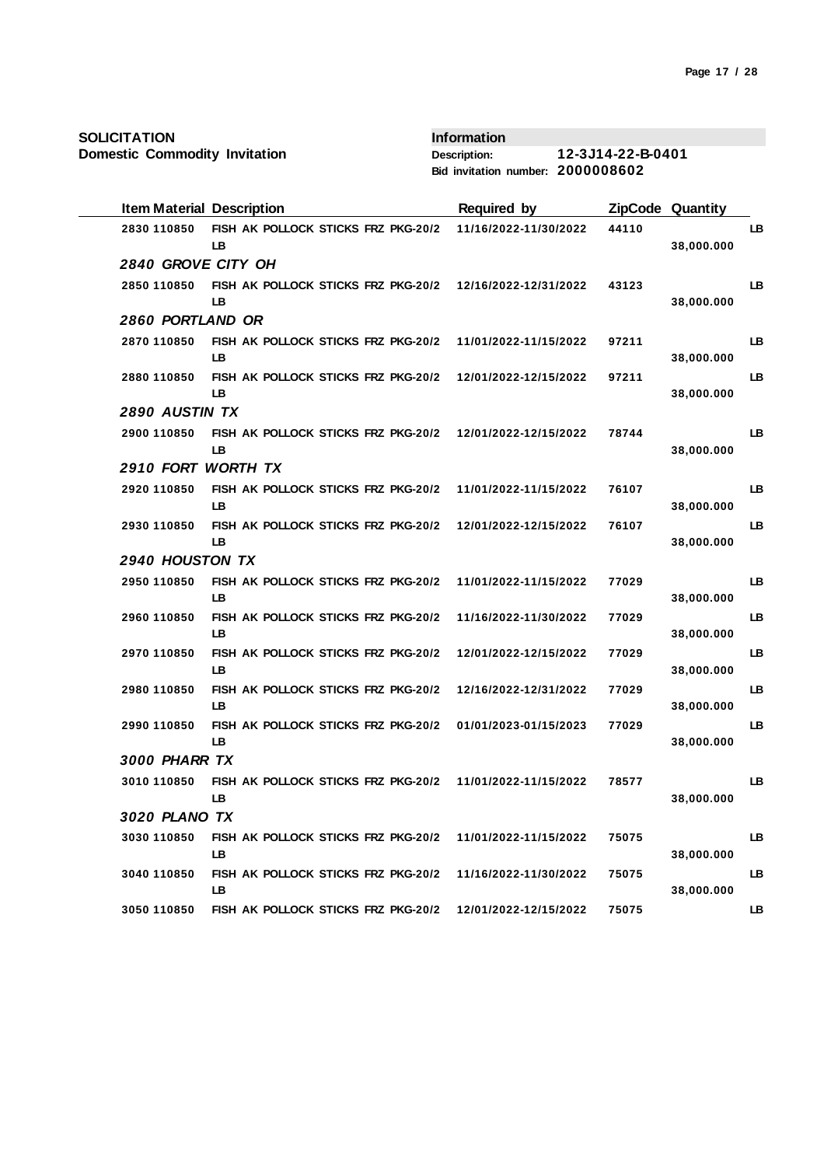**Domestic Commodity Invitation**

| <b>Item Material Description</b> |                                                  | <b>Required by</b>    |       | <b>ZipCode Quantity</b> |    |
|----------------------------------|--------------------------------------------------|-----------------------|-------|-------------------------|----|
| 2830 110850                      | FISH AK POLLOCK STICKS FRZ PKG-20/2<br>LB        | 11/16/2022-11/30/2022 | 44110 | 38,000.000              | LB |
| 2840 GROVE CITY OH               |                                                  |                       |       |                         |    |
| 2850 110850                      | FISH AK POLLOCK STICKS FRZ PKG-20/2<br>LB        | 12/16/2022-12/31/2022 | 43123 | 38,000.000              | LB |
| 2860 PORTLAND OR                 |                                                  |                       |       |                         |    |
| 2870 110850                      | FISH AK POLLOCK STICKS FRZ PKG-20/2<br>LB        | 11/01/2022-11/15/2022 | 97211 | 38,000.000              | LB |
| 2880 110850                      | FISH AK POLLOCK STICKS FRZ PKG-20/2<br>LB        | 12/01/2022-12/15/2022 | 97211 | 38,000.000              | LB |
| <b>2890 AUSTIN TX</b>            |                                                  |                       |       |                         |    |
| 2900 110850                      | FISH AK POLLOCK STICKS FRZ PKG-20/2<br><b>LB</b> | 12/01/2022-12/15/2022 | 78744 | 38,000.000              | LB |
| 2910 FORT WORTH TX               |                                                  |                       |       |                         |    |
| 2920 110850                      | FISH AK POLLOCK STICKS FRZ PKG-20/2<br>LB        | 11/01/2022-11/15/2022 | 76107 | 38,000.000              | LB |
| 2930 110850                      | FISH AK POLLOCK STICKS FRZ PKG-20/2<br>LB        | 12/01/2022-12/15/2022 | 76107 | 38,000.000              | LB |
| 2940 HOUSTON TX                  |                                                  |                       |       |                         |    |
| 2950 110850                      | FISH AK POLLOCK STICKS FRZ PKG-20/2<br><b>LB</b> | 11/01/2022-11/15/2022 | 77029 | 38,000.000              | LB |
| 2960 110850                      | FISH AK POLLOCK STICKS FRZ PKG-20/2<br>LB.       | 11/16/2022-11/30/2022 | 77029 | 38,000.000              | LB |
| 2970 110850                      | FISH AK POLLOCK STICKS FRZ PKG-20/2<br>LB        | 12/01/2022-12/15/2022 | 77029 | 38,000.000              | LB |
| 2980 110850                      | FISH AK POLLOCK STICKS FRZ PKG-20/2<br>LB        | 12/16/2022-12/31/2022 | 77029 | 38,000.000              | LB |
| 2990 110850                      | FISH AK POLLOCK STICKS FRZ PKG-20/2<br>LB        | 01/01/2023-01/15/2023 | 77029 | 38,000.000              | LB |
| <b>3000 PHARR TX</b>             |                                                  |                       |       |                         |    |
| 3010 110850                      | FISH AK POLLOCK STICKS FRZ PKG-20/2<br>LB        | 11/01/2022-11/15/2022 | 78577 | 38,000.000              | LB |
| 3020 PLANO TX                    |                                                  |                       |       |                         |    |
| 3030 110850                      | FISH AK POLLOCK STICKS FRZ PKG-20/2<br>LB        | 11/01/2022-11/15/2022 | 75075 | 38,000.000              | LB |
| 3040 110850                      | FISH AK POLLOCK STICKS FRZ PKG-20/2              | 11/16/2022-11/30/2022 | 75075 |                         | LB |
| 3050 110850                      | LB<br>FISH AK POLLOCK STICKS FRZ PKG-20/2        | 12/01/2022-12/15/2022 | 75075 | 38,000.000              | LB |
|                                  |                                                  |                       |       |                         |    |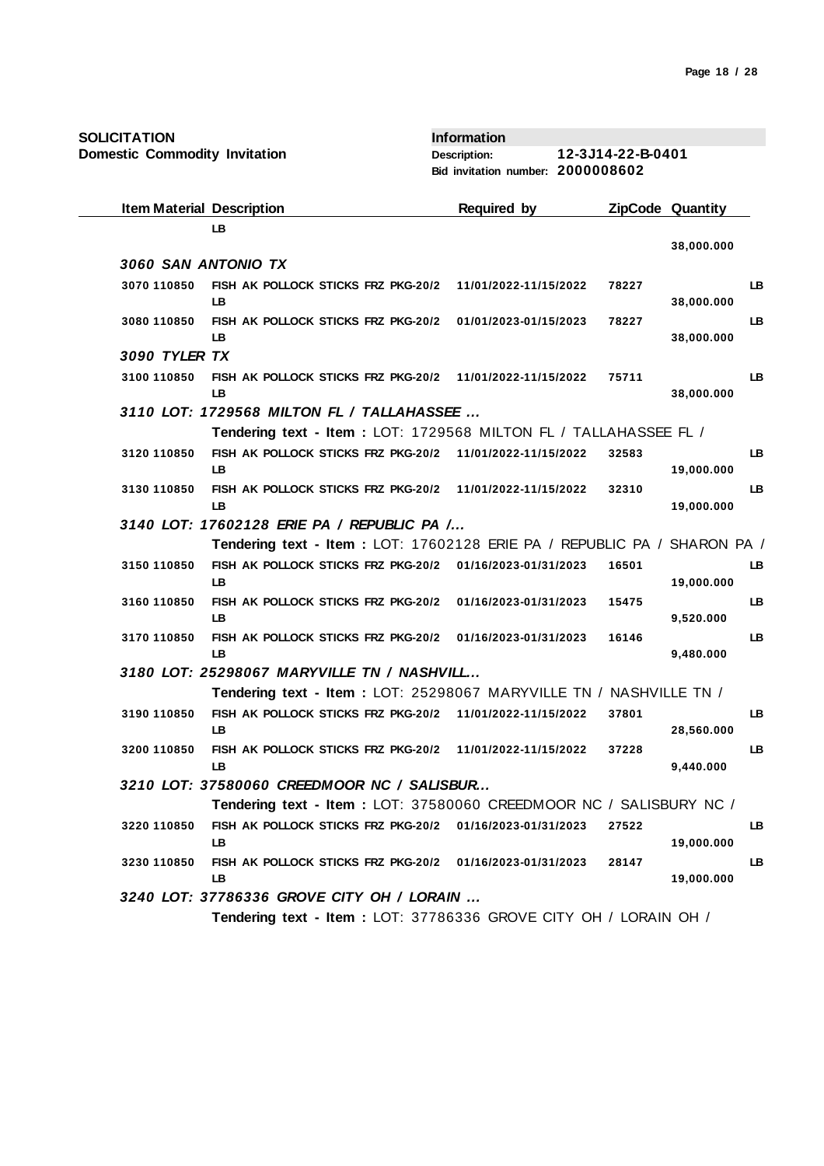| <b>Item Material Description</b> |                                                                          | <b>Required by</b>    |       | <b>ZipCode Quantity</b> |    |
|----------------------------------|--------------------------------------------------------------------------|-----------------------|-------|-------------------------|----|
|                                  | <b>LB</b>                                                                |                       |       | 38,000.000              |    |
| 3060 SAN ANTONIO TX              |                                                                          |                       |       |                         |    |
| 3070 110850                      | FISH AK POLLOCK STICKS FRZ PKG-20/2                                      | 11/01/2022-11/15/2022 | 78227 |                         | LB |
|                                  | LB                                                                       |                       |       | 38,000.000              |    |
| 3080 110850                      | FISH AK POLLOCK STICKS FRZ PKG-20/2                                      | 01/01/2023-01/15/2023 | 78227 |                         | LB |
| 3090 TYLER TX                    | LB                                                                       |                       |       | 38,000.000              |    |
| 3100 110850                      | FISH AK POLLOCK STICKS FRZ PKG-20/2 11/01/2022-11/15/2022                |                       | 75711 |                         | LB |
|                                  | LB                                                                       |                       |       | 38,000.000              |    |
|                                  | 3110 LOT: 1729568 MILTON FL / TALLAHASSEE                                |                       |       |                         |    |
|                                  | Tendering text - Item: LOT: 1729568 MILTON FL / TALLAHASSEE FL /         |                       |       |                         |    |
| 3120 110850                      | FISH AK POLLOCK STICKS FRZ PKG-20/2 11/01/2022-11/15/2022                |                       | 32583 |                         | LB |
|                                  | <b>LB</b>                                                                |                       |       | 19,000.000              |    |
| 3130 110850                      | FISH AK POLLOCK STICKS FRZ PKG-20/2 11/01/2022-11/15/2022<br>LB          |                       | 32310 | 19,000.000              | LB |
|                                  | 3140 LOT: 17602128 ERIE PA / REPUBLIC PA /                               |                       |       |                         |    |
|                                  | Tendering text - Item: LOT: 17602128 ERIE PA / REPUBLIC PA / SHARON PA / |                       |       |                         |    |
| 3150 110850                      | FISH AK POLLOCK STICKS FRZ PKG-20/2 01/16/2023-01/31/2023                |                       | 16501 |                         | LB |
|                                  | LB                                                                       |                       |       | 19,000.000              |    |
| 3160 110850                      | FISH AK POLLOCK STICKS FRZ PKG-20/2                                      | 01/16/2023-01/31/2023 | 15475 |                         | LB |
|                                  | <b>LB</b>                                                                |                       |       | 9,520.000               |    |
| 3170 110850                      | FISH AK POLLOCK STICKS FRZ PKG-20/2 01/16/2023-01/31/2023<br><b>LB</b>   |                       | 16146 | 9,480.000               | LB |
|                                  | 3180 LOT: 25298067 MARYVILLE TN / NASHVILL                               |                       |       |                         |    |
|                                  | Tendering text - Item : LOT: 25298067 MARYVILLE TN / NASHVILLE TN /      |                       |       |                         |    |
| 3190 110850                      | FISH AK POLLOCK STICKS FRZ PKG-20/2 11/01/2022-11/15/2022                |                       | 37801 |                         | LB |
|                                  | LB.                                                                      |                       |       | 28,560.000              |    |
| 3200 110850                      | FISH AK POLLOCK STICKS FRZ PKG-20/2 11/01/2022-11/15/2022                |                       | 37228 |                         | LB |
|                                  | <b>LB</b><br>3210 LOT: 37580060 CREEDMOOR NC / SALISBUR                  |                       |       | 9,440.000               |    |
|                                  | Tendering text - Item: LOT: 37580060 CREEDMOOR NC / SALISBURY NC /       |                       |       |                         |    |
| 3220 110850                      | FISH AK POLLOCK STICKS FRZ PKG-20/2 01/16/2023-01/31/2023                |                       | 27522 |                         | LB |
|                                  | LB                                                                       |                       |       | 19,000.000              |    |
| 3230 110850                      | FISH AK POLLOCK STICKS FRZ PKG-20/2 01/16/2023-01/31/2023                |                       | 28147 |                         | LB |
|                                  | LB                                                                       |                       |       | 19,000.000              |    |
|                                  | 3240 LOT: 37786336 GROVE CITY OH / LORAIN                                |                       |       |                         |    |
|                                  | Tendering text - Item: LOT: 37786336 GROVE CITY OH / LORAIN OH /         |                       |       |                         |    |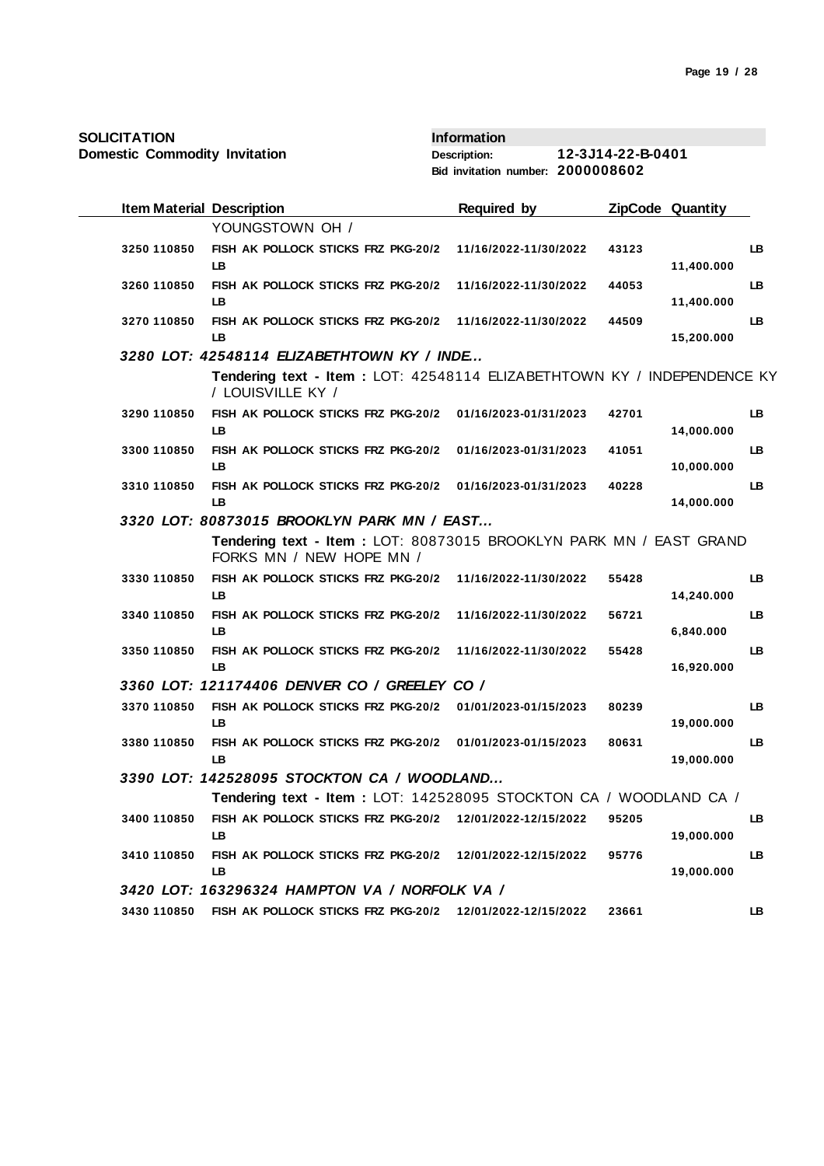| SOLICITATION<br><b>Domestic Commodity Invitation</b> |                                                                                                 | <b>Information</b><br><b>Description:</b><br>Bid invitation number: 2000008602 | 12-3J14-22-B-0401 |                         |    |
|------------------------------------------------------|-------------------------------------------------------------------------------------------------|--------------------------------------------------------------------------------|-------------------|-------------------------|----|
|                                                      |                                                                                                 |                                                                                |                   |                         |    |
| <b>Item Material Description</b>                     |                                                                                                 | <b>Required by</b>                                                             |                   | <b>ZipCode Quantity</b> |    |
|                                                      | YOUNGSTOWN OH /                                                                                 |                                                                                |                   |                         |    |
| 3250 110850                                          | FISH AK POLLOCK STICKS FRZ PKG-20/2<br>LB                                                       | 11/16/2022-11/30/2022                                                          | 43123             | 11,400.000              | LB |
| 3260 110850                                          | FISH AK POLLOCK STICKS FRZ PKG-20/2<br>LB.                                                      | 11/16/2022-11/30/2022                                                          | 44053             | 11,400.000              | LB |
| 3270 110850                                          | FISH AK POLLOCK STICKS FRZ PKG-20/2<br>LB                                                       | 11/16/2022-11/30/2022                                                          | 44509             | 15,200.000              | LB |
|                                                      | 3280 LOT: 42548114 ELIZABETHTOWN KY / INDE                                                      |                                                                                |                   |                         |    |
|                                                      | Tendering text - Item : LOT: 42548114 ELIZABETHTOWN KY / INDEPENDENCE KY<br>/ LOUISVILLE KY /   |                                                                                |                   |                         |    |
| 3290 110850                                          | FISH AK POLLOCK STICKS FRZ PKG-20/2 01/16/2023-01/31/2023<br>LB.                                |                                                                                | 42701             | 14,000.000              | LB |
| 3300 110850                                          | FISH AK POLLOCK STICKS FRZ PKG-20/2<br>LB.                                                      | 01/16/2023-01/31/2023                                                          | 41051             | 10,000.000              | LB |
| 3310 110850                                          | FISH AK POLLOCK STICKS FRZ PKG-20/2<br><b>LB</b>                                                | 01/16/2023-01/31/2023                                                          | 40228             | 14,000.000              | LB |
|                                                      | 3320 LOT: 80873015 BROOKLYN PARK MN / EAST                                                      |                                                                                |                   |                         |    |
|                                                      | Tendering text - Item : LOT: 80873015 BROOKLYN PARK MN / EAST GRAND<br>FORKS MN / NEW HOPE MN / |                                                                                |                   |                         |    |
| 3330 110850                                          | FISH AK POLLOCK STICKS FRZ PKG-20/2<br>LB.                                                      | 11/16/2022-11/30/2022                                                          | 55428             | 14,240.000              | LB |
| 3340 110850                                          | FISH AK POLLOCK STICKS FRZ PKG-20/2<br>LB                                                       | 11/16/2022-11/30/2022                                                          | 56721             | 6,840.000               | LB |
| 3350 110850                                          | FISH AK POLLOCK STICKS FRZ PKG-20/2<br><b>LB</b>                                                | 11/16/2022-11/30/2022                                                          | 55428             | 16,920.000              | LB |
|                                                      | 3360 LOT: 121174406 DENVER CO / GREELEY CO /                                                    |                                                                                |                   |                         |    |
| 3370 110850                                          | FISH AK POLLOCK STICKS FRZ PKG-20/2<br>LВ                                                       | 01/01/2023-01/15/2023                                                          | 80239             | 19,000.000              | LB |
| 3380 110850                                          | FISH AK POLLOCK STICKS FRZ PKG-20/2<br>LB                                                       | 01/01/2023-01/15/2023                                                          | 80631             | 19,000.000              | LB |
|                                                      | 3390 LOT: 142528095 STOCKTON CA / WOODLAND                                                      |                                                                                |                   |                         |    |
|                                                      | Tendering text - Item : LOT: 142528095 STOCKTON CA / WOODLAND CA /                              |                                                                                |                   |                         |    |
| 3400 110850                                          | FISH AK POLLOCK STICKS FRZ PKG-20/2 12/01/2022-12/15/2022<br>LB                                 |                                                                                | 95205             | 19,000.000              | LB |
| 3410 110850                                          | FISH AK POLLOCK STICKS FRZ PKG-20/2<br>LB                                                       | 12/01/2022-12/15/2022                                                          | 95776             | 19,000.000              | LB |
|                                                      | 3420 LOT: 163296324 HAMPTON VA / NORFOLK VA /                                                   |                                                                                |                   |                         |    |
| 3430 110850                                          | FISH AK POLLOCK STICKS FRZ PKG-20/2 12/01/2022-12/15/2022                                       |                                                                                | 23661             |                         | LB |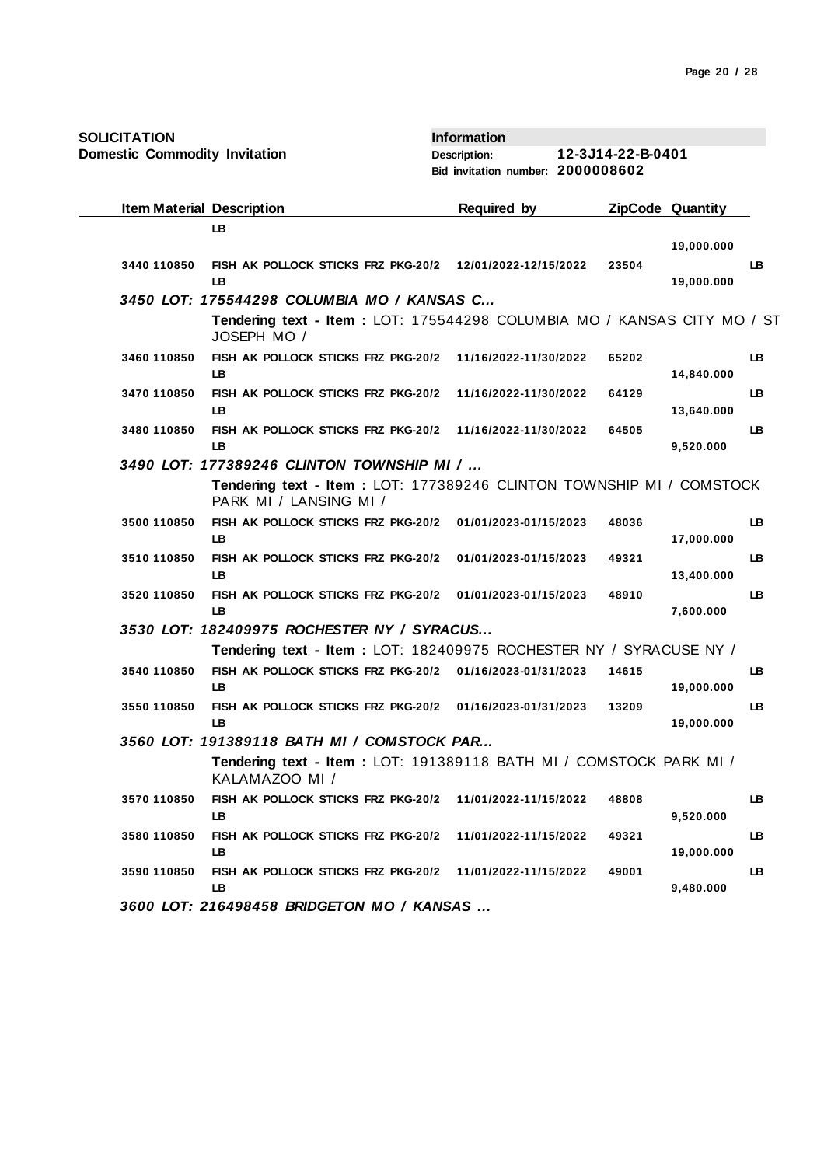| SOLICITATION                         |                                                                                                | <b>Information</b>                |                   |                         |    |
|--------------------------------------|------------------------------------------------------------------------------------------------|-----------------------------------|-------------------|-------------------------|----|
| <b>Domestic Commodity Invitation</b> |                                                                                                | <b>Description:</b>               | 12-3J14-22-B-0401 |                         |    |
|                                      |                                                                                                | Bid invitation number: 2000008602 |                   |                         |    |
| <b>Item Material Description</b>     |                                                                                                | <b>Required by</b>                |                   | <b>ZipCode Quantity</b> |    |
|                                      | LB                                                                                             |                                   |                   |                         |    |
|                                      |                                                                                                |                                   |                   | 19,000.000              |    |
| 3440 110850                          | FISH AK POLLOCK STICKS FRZ PKG-20/2 12/01/2022-12/15/2022<br>LB                                |                                   | 23504             | 19,000.000              | LB |
|                                      | 3450 LOT: 175544298 COLUMBIA MO / KANSAS C                                                     |                                   |                   |                         |    |
|                                      | Tendering text - Item : LOT: 175544298 COLUMBIA MO / KANSAS CITY MO / ST<br>JOSEPH MO /        |                                   |                   |                         |    |
| 3460 110850                          | FISH AK POLLOCK STICKS FRZ PKG-20/2<br>LB                                                      | 11/16/2022-11/30/2022             | 65202             | 14,840.000              | LB |
| 3470 110850                          | FISH AK POLLOCK STICKS FRZ PKG-20/2<br>LB                                                      | 11/16/2022-11/30/2022             | 64129             | 13,640.000              | LB |
| 3480 110850                          | FISH AK POLLOCK STICKS FRZ PKG-20/2<br><b>LB</b>                                               | 11/16/2022-11/30/2022             | 64505             | 9,520.000               | LB |
|                                      | 3490 LOT: 177389246 CLINTON TOWNSHIP MI /                                                      |                                   |                   |                         |    |
|                                      | Tendering text - Item: LOT: 177389246 CLINTON TOWNSHIP MI / COMSTOCK<br>PARK MI / LANSING MI / |                                   |                   |                         |    |
| 3500 110850                          | FISH AK POLLOCK STICKS FRZ PKG-20/2<br>LB.                                                     | 01/01/2023-01/15/2023             | 48036             | 17,000.000              | LB |
| 3510 110850                          | FISH AK POLLOCK STICKS FRZ PKG-20/2<br><b>LB</b>                                               | 01/01/2023-01/15/2023             | 49321             | 13,400.000              | LB |
| 3520 110850                          | FISH AK POLLOCK STICKS FRZ PKG-20/2<br><b>LB</b>                                               | 01/01/2023-01/15/2023             | 48910             | 7,600.000               | LB |
|                                      | 3530 LOT: 182409975 ROCHESTER NY / SYRACUS                                                     |                                   |                   |                         |    |
|                                      | Tendering text - Item: LOT: 182409975 ROCHESTER NY / SYRACUSE NY /                             |                                   |                   |                         |    |
| 3540 110850                          | FISH AK POLLOCK STICKS FRZ PKG-20/2 01/16/2023-01/31/2023                                      |                                   | 14615             |                         | LB |
|                                      | LB                                                                                             |                                   |                   | 19,000.000              |    |
| 3550 110850                          | FISH AK POLLOCK STICKS FRZ PKG-20/2 01/16/2023-01/31/2023<br>LB                                |                                   | 13209             | 19,000.000              | LB |
|                                      | 3560 LOT: 191389118 BATH MI / COMSTOCK PAR                                                     |                                   |                   |                         |    |
|                                      | Tendering text - Item: LOT: 191389118 BATH MI / COMSTOCK PARK MI /<br>KALAMAZOO MI /           |                                   |                   |                         |    |
| 3570 110850                          | FISH AK POLLOCK STICKS FRZ PKG-20/2<br>LB                                                      | 11/01/2022-11/15/2022             | 48808             | 9,520.000               | LB |
| 3580 110850                          | FISH AK POLLOCK STICKS FRZ PKG-20/2<br>LB                                                      | 11/01/2022-11/15/2022             | 49321             | 19,000.000              | LB |
| 3590 110850                          | FISH AK POLLOCK STICKS FRZ PKG-20/2<br>LB.                                                     | 11/01/2022-11/15/2022             | 49001             | 9,480.000               | LB |
|                                      | 3600 LOT: 216498458 BRIDGETON MO / KANSAS                                                      |                                   |                   |                         |    |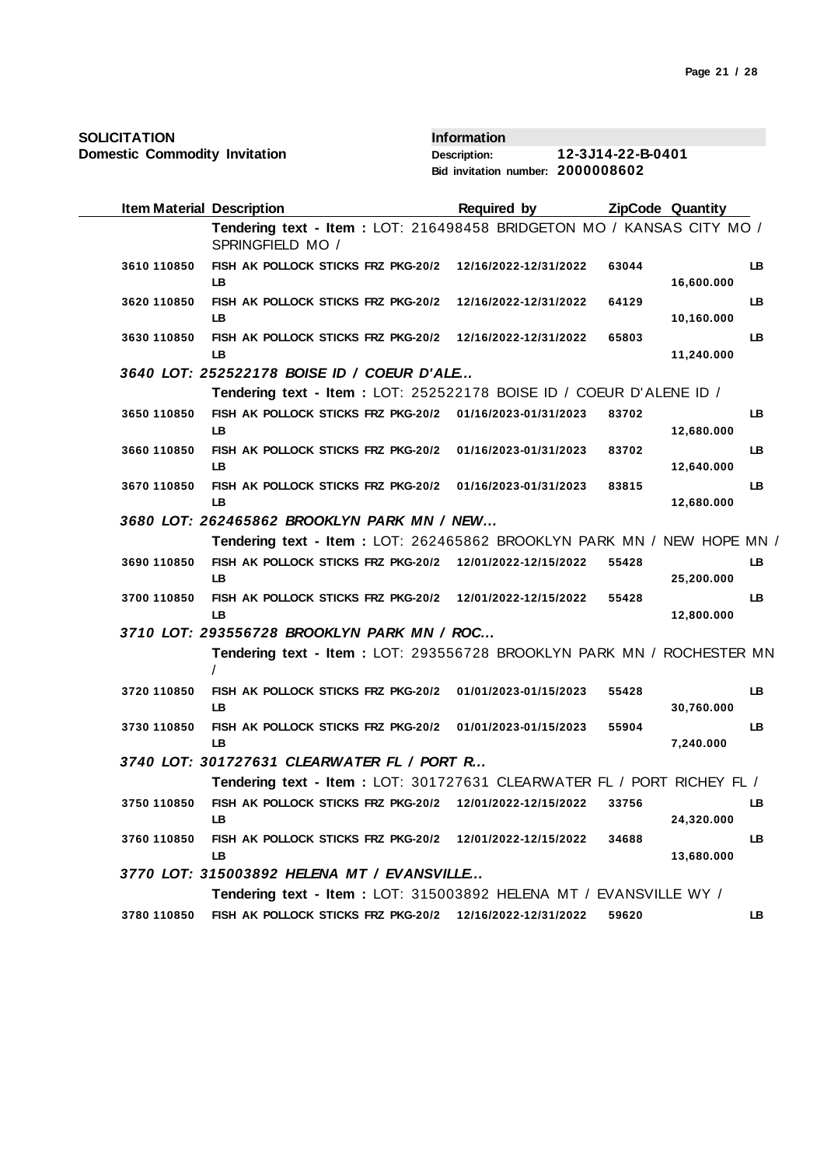| SOLICITATION |  |
|--------------|--|
|--------------|--|

| <b>Item Material Description</b> |                                                                                           | <b>Required by</b>    |       | ZipCode Quantity |     |
|----------------------------------|-------------------------------------------------------------------------------------------|-----------------------|-------|------------------|-----|
|                                  | Tendering text - Item: LOT: 216498458 BRIDGETON MO / KANSAS CITY MO /<br>SPRINGFIELD MO / |                       |       |                  |     |
| 3610 110850                      | FISH AK POLLOCK STICKS FRZ PKG-20/2<br>LB.                                                | 12/16/2022-12/31/2022 | 63044 | 16,600.000       | LB  |
| 3620 110850                      | FISH AK POLLOCK STICKS FRZ PKG-20/2<br><b>LB</b>                                          | 12/16/2022-12/31/2022 | 64129 | 10,160.000       | LB  |
| 3630 110850                      | FISH AK POLLOCK STICKS FRZ PKG-20/2 12/16/2022-12/31/2022<br>LB                           |                       | 65803 | 11,240.000       | LB  |
|                                  | 3640 LOT: 252522178 BOISE ID / COEUR D'ALE                                                |                       |       |                  |     |
|                                  | Tendering text - Item: LOT: 252522178 BOISE ID / COEUR D'ALENE ID /                       |                       |       |                  |     |
| 3650 110850                      | FISH AK POLLOCK STICKS FRZ PKG-20/2 01/16/2023-01/31/2023<br>LB.                          |                       | 83702 | 12,680.000       | LB  |
| 3660 110850                      | FISH AK POLLOCK STICKS FRZ PKG-20/2 01/16/2023-01/31/2023<br>LB                           |                       | 83702 | 12,640.000       | LB  |
| 3670 110850                      | FISH AK POLLOCK STICKS FRZ PKG-20/2 01/16/2023-01/31/2023<br><b>LB</b>                    |                       | 83815 | 12,680.000       | LB  |
|                                  | 3680 LOT: 262465862 BROOKLYN PARK MN / NEW                                                |                       |       |                  |     |
|                                  | Tendering text - Item : LOT: 262465862 BROOKLYN PARK MN / NEW HOPE MN /                   |                       |       |                  |     |
| 3690 110850                      | FISH AK POLLOCK STICKS FRZ PKG-20/2 12/01/2022-12/15/2022<br><b>LB</b>                    |                       | 55428 | 25,200.000       | LB  |
| 3700 110850                      | FISH AK POLLOCK STICKS FRZ PKG-20/2 12/01/2022-12/15/2022<br>LB.                          |                       | 55428 | 12,800.000       | LB. |
|                                  | 3710 LOT: 293556728 BROOKLYN PARK MN / ROC                                                |                       |       |                  |     |
|                                  | Tendering text - Item : LOT: 293556728 BROOKLYN PARK MN / ROCHESTER MN<br>$\prime$        |                       |       |                  |     |
| 3720 110850                      | FISH AK POLLOCK STICKS FRZ PKG-20/2<br><b>LB</b>                                          | 01/01/2023-01/15/2023 | 55428 | 30,760.000       | LB. |
| 3730 110850                      | FISH AK POLLOCK STICKS FRZ PKG-20/2<br><b>LB</b>                                          | 01/01/2023-01/15/2023 | 55904 | 7,240.000        | LB  |
|                                  | 3740 LOT: 301727631 CLEARWATER FL / PORT R                                                |                       |       |                  |     |
|                                  | Tendering text - Item: LOT: 301727631 CLEARWATER FL / PORT RICHEY FL /                    |                       |       |                  |     |
| 3750 110850                      | FISH AK POLLOCK STICKS FRZ PKG-20/2 12/01/2022-12/15/2022<br>LB                           |                       | 33756 | 24,320.000       | LB  |
| 3760 110850                      | FISH AK POLLOCK STICKS FRZ PKG-20/2 12/01/2022-12/15/2022<br>LB                           |                       | 34688 | 13,680.000       | LB  |
|                                  | 3770 LOT: 315003892 HELENA MT / EVANSVILLE                                                |                       |       |                  |     |
|                                  | Tendering text - Item : LOT: 315003892 HELENA MT / EVANSVILLE WY /                        |                       |       |                  |     |
| 3780 110850                      | FISH AK POLLOCK STICKS FRZ PKG-20/2 12/16/2022-12/31/2022                                 |                       | 59620 |                  | LB. |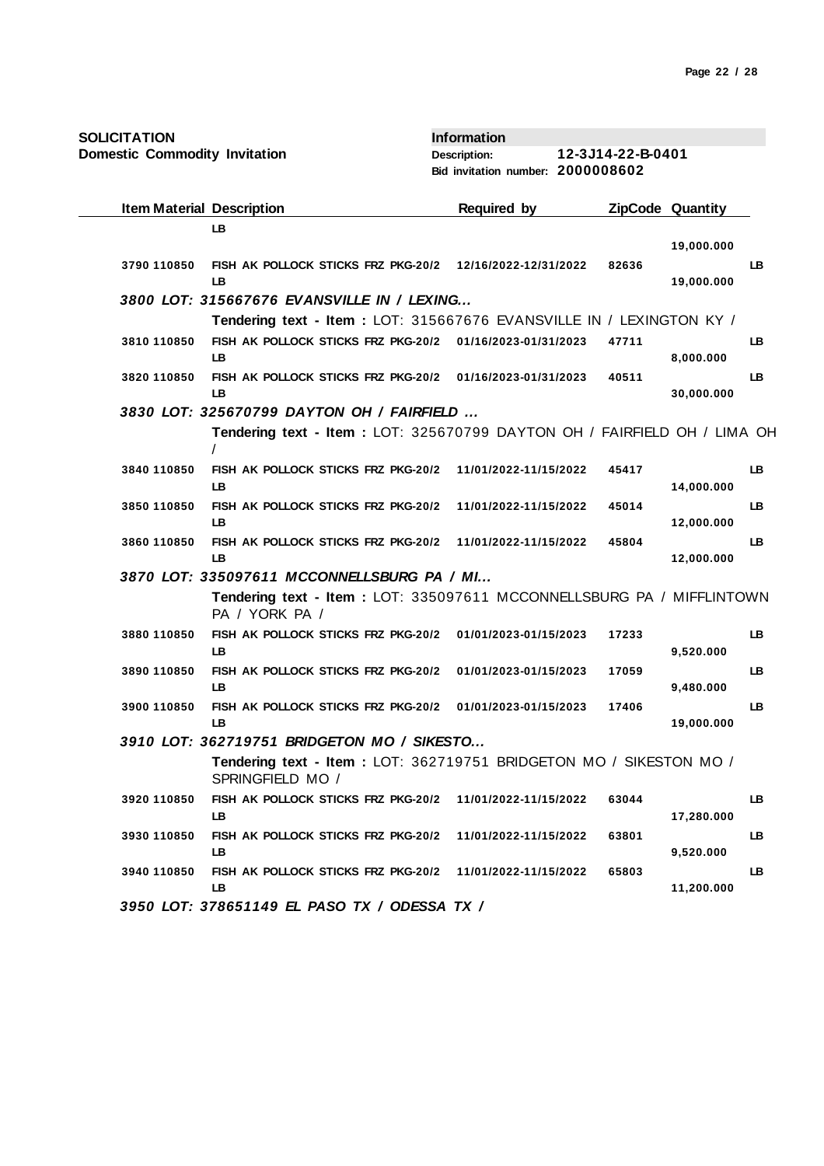| <b>SOLICITATION</b><br><b>Domestic Commodity Invitation</b> |                                                                                         | <b>Information</b><br><b>Description:</b><br>Bid invitation number: 2000008602 | 12-3J14-22-B-0401 |                         |           |
|-------------------------------------------------------------|-----------------------------------------------------------------------------------------|--------------------------------------------------------------------------------|-------------------|-------------------------|-----------|
| <b>Item Material Description</b>                            |                                                                                         | <b>Required by</b>                                                             |                   | <b>ZipCode Quantity</b> |           |
|                                                             | LB                                                                                      |                                                                                |                   | 19,000.000              |           |
| 3790 110850                                                 | FISH AK POLLOCK STICKS FRZ PKG-20/2<br>LВ                                               | 12/16/2022-12/31/2022                                                          | 82636             | 19,000.000              | LB        |
|                                                             | 3800 LOT: 315667676 EVANSVILLE IN / LEXING                                              |                                                                                |                   |                         |           |
|                                                             | Tendering text - Item : LOT: 315667676 EVANSVILLE IN / LEXINGTON KY /                   |                                                                                |                   |                         |           |
| 3810 110850                                                 | FISH AK POLLOCK STICKS FRZ PKG-20/2<br>LB                                               | 01/16/2023-01/31/2023                                                          | 47711             | 8,000.000               | LB        |
| 3820 110850                                                 | FISH AK POLLOCK STICKS FRZ PKG-20/2 01/16/2023-01/31/2023<br>LB                         |                                                                                | 40511             | 30,000.000              | LB.       |
|                                                             | 3830 LOT: 325670799 DAYTON OH / FAIRFIELD                                               |                                                                                |                   |                         |           |
|                                                             | Tendering text - Item: LOT: 325670799 DAYTON OH / FAIRFIELD OH / LIMA OH                |                                                                                |                   |                         |           |
| 3840 110850                                                 | FISH AK POLLOCK STICKS FRZ PKG-20/2<br><b>LB</b>                                        | 11/01/2022-11/15/2022                                                          | 45417             | 14,000.000              | LB        |
| 3850 110850                                                 | FISH AK POLLOCK STICKS FRZ PKG-20/2<br>LB                                               | 11/01/2022-11/15/2022                                                          | 45014             | 12,000.000              | LB        |
| 3860 110850                                                 | FISH AK POLLOCK STICKS FRZ PKG-20/2<br>LB                                               | 11/01/2022-11/15/2022                                                          | 45804             | 12,000.000              | <b>LB</b> |
|                                                             | 3870 LOT: 335097611 MCCONNELLSBURG PA / MI                                              |                                                                                |                   |                         |           |
|                                                             | Tendering text - Item: LOT: 335097611 MCCONNELLSBURG PA / MIFFLINTOWN<br>PA / YORK PA / |                                                                                |                   |                         |           |
| 3880 110850                                                 | FISH AK POLLOCK STICKS FRZ PKG-20/2<br>LB                                               | 01/01/2023-01/15/2023                                                          | 17233             | 9,520.000               | LB        |
| 3890 110850                                                 | FISH AK POLLOCK STICKS FRZ PKG-20/2<br>LB                                               | 01/01/2023-01/15/2023                                                          | 17059             | 9,480.000               | LB        |
| 3900 110850                                                 | FISH AK POLLOCK STICKS FRZ PKG-20/2<br>LB                                               | 01/01/2023-01/15/2023                                                          | 17406             | 19,000.000              | LB        |
|                                                             | 3910 LOT: 362719751 BRIDGETON MO / SIKESTO                                              |                                                                                |                   |                         |           |
|                                                             | Tendering text - Item: LOT: 362719751 BRIDGETON MO / SIKESTON MO /<br>SPRINGFIELD MO /  |                                                                                |                   |                         |           |
| 3920 110850                                                 | FISH AK POLLOCK STICKS FRZ PKG-20/2<br>LB.                                              | 11/01/2022-11/15/2022                                                          | 63044             | 17,280.000              | LB        |
| 3930 110850                                                 | FISH AK POLLOCK STICKS FRZ PKG-20/2<br>LB                                               | 11/01/2022-11/15/2022                                                          | 63801             | 9,520.000               | LB.       |
| 3940 110850                                                 | FISH AK POLLOCK STICKS FRZ PKG-20/2<br>LB                                               | 11/01/2022-11/15/2022                                                          | 65803             | 11,200.000              | LB.       |
|                                                             | 3950 LOT: 378651149 EL PASO TX / ODESSA TX /                                            |                                                                                |                   |                         |           |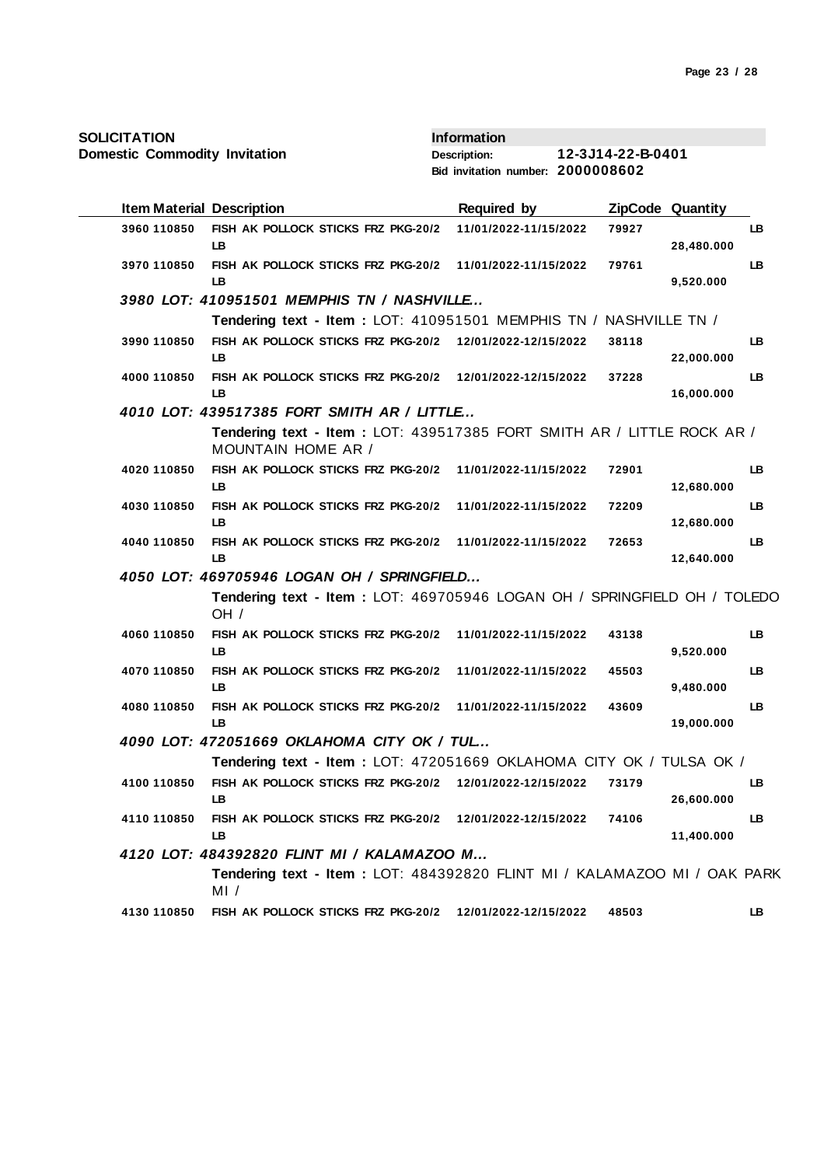| <b>SOLICITATION</b> |  |
|---------------------|--|
|---------------------|--|

| <b>Item Material Description</b> |                                                                                                      | <b>Required by</b>    |       | <b>ZipCode Quantity</b> |           |
|----------------------------------|------------------------------------------------------------------------------------------------------|-----------------------|-------|-------------------------|-----------|
| 3960 110850                      | FISH AK POLLOCK STICKS FRZ PKG-20/2<br>LB.                                                           | 11/01/2022-11/15/2022 | 79927 | 28,480.000              | LB        |
| 3970 110850                      | FISH AK POLLOCK STICKS FRZ PKG-20/2<br>LB.                                                           | 11/01/2022-11/15/2022 | 79761 | 9,520.000               | LB.       |
|                                  | 3980 LOT: 410951501 MEMPHIS TN / NASHVILLE                                                           |                       |       |                         |           |
|                                  | Tendering text - Item: LOT: 410951501 MEMPHIS TN / NASHVILLE TN /                                    |                       |       |                         |           |
| 3990 110850                      | FISH AK POLLOCK STICKS FRZ PKG-20/2 12/01/2022-12/15/2022<br>LB.                                     |                       | 38118 | 22,000.000              | LB.       |
| 4000 110850                      | FISH AK POLLOCK STICKS FRZ PKG-20/2<br><b>LB</b>                                                     | 12/01/2022-12/15/2022 | 37228 | 16,000.000              | LB        |
|                                  | 4010 LOT: 439517385 FORT SMITH AR / LITTLE                                                           |                       |       |                         |           |
|                                  | Tendering text - Item : LOT: 439517385 FORT SMITH AR / LITTLE ROCK AR /<br><b>MOUNTAIN HOME AR /</b> |                       |       |                         |           |
| 4020 110850                      | FISH AK POLLOCK STICKS FRZ PKG-20/2<br>LB.                                                           | 11/01/2022-11/15/2022 | 72901 | 12,680.000              | LB        |
| 4030 110850                      | FISH AK POLLOCK STICKS FRZ PKG-20/2<br>LB                                                            | 11/01/2022-11/15/2022 | 72209 | 12,680.000              | LB.       |
| 4040 110850                      | FISH AK POLLOCK STICKS FRZ PKG-20/2 11/01/2022-11/15/2022<br>IB.                                     |                       | 72653 | 12,640.000              | LB        |
|                                  | 4050 LOT: 469705946 LOGAN OH / SPRINGFIELD                                                           |                       |       |                         |           |
|                                  | Tendering text - Item: LOT: 469705946 LOGAN OH / SPRINGFIELD OH / TOLEDO<br>OH /                     |                       |       |                         |           |
| 4060 110850                      | FISH AK POLLOCK STICKS FRZ PKG-20/2<br><b>LB</b>                                                     | 11/01/2022-11/15/2022 | 43138 | 9,520.000               | LB.       |
| 4070 110850                      | FISH AK POLLOCK STICKS FRZ PKG-20/2<br>LB.                                                           | 11/01/2022-11/15/2022 | 45503 | 9,480.000               | LB        |
| 4080 110850                      | FISH AK POLLOCK STICKS FRZ PKG-20/2<br><b>LB</b>                                                     | 11/01/2022-11/15/2022 | 43609 | 19,000.000              | LB        |
|                                  | 4090 LOT: 472051669 OKLAHOMA CITY OK / TUL                                                           |                       |       |                         |           |
|                                  | Tendering text - Item : LOT: 472051669 OKLAHOMA CITY OK / TULSA OK /                                 |                       |       |                         |           |
| 4100 110850                      | FISH AK POLLOCK STICKS FRZ PKG-20/2 12/01/2022-12/15/2022<br><b>LB</b>                               |                       | 73179 | 26,600.000              | LB        |
| 4110 110850                      | FISH AK POLLOCK STICKS FRZ PKG-20/2<br>LB                                                            | 12/01/2022-12/15/2022 | 74106 | 11,400.000              | <b>LB</b> |
|                                  | 4120 LOT: 484392820 FLINT MI / KALAMAZOO M                                                           |                       |       |                         |           |
|                                  | Tendering text - Item: LOT: 484392820 FLINT MI / KALAMAZOO MI / OAK PARK<br>MI /                     |                       |       |                         |           |
| 4130 110850                      | FISH AK POLLOCK STICKS FRZ PKG-20/2                                                                  | 12/01/2022-12/15/2022 | 48503 |                         | LB.       |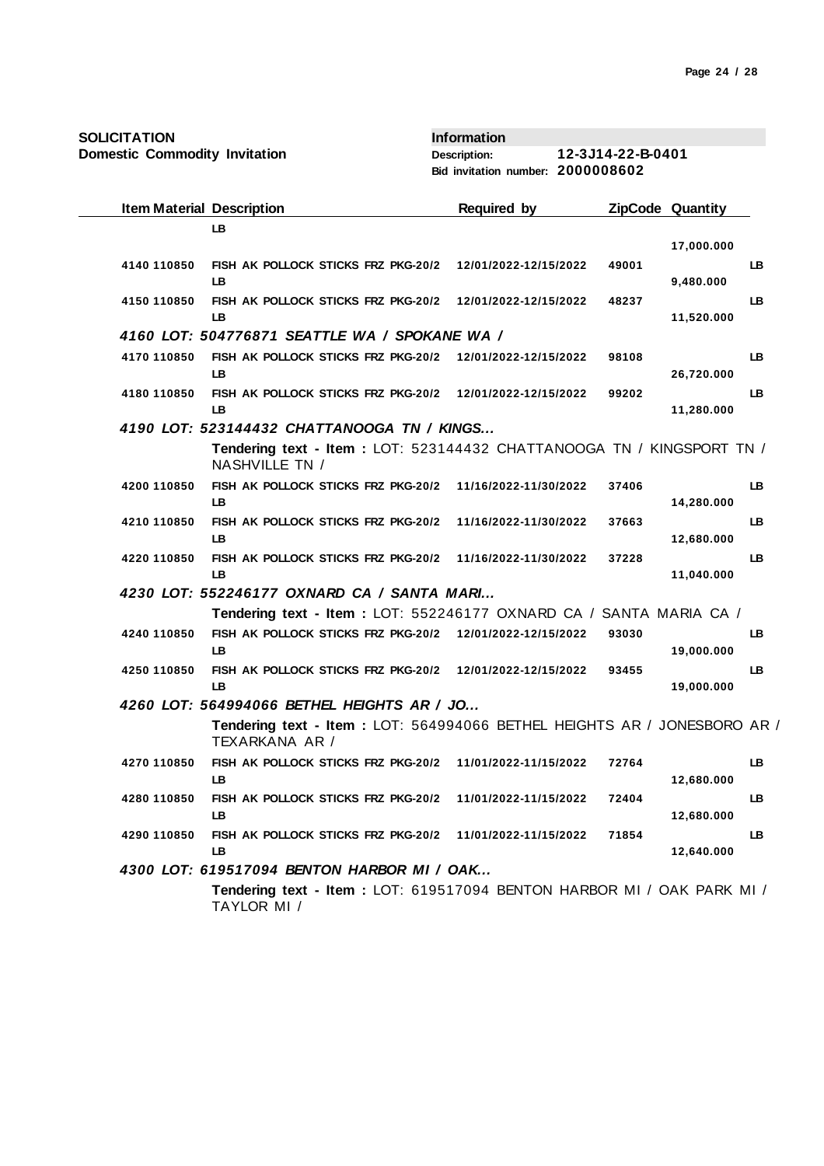| <b>SOLICITATION</b> |  |
|---------------------|--|
|---------------------|--|

| <b>Item Material Description</b> |                                                                                            | <b>Required by</b>    |       | ZipCode Quantity |           |
|----------------------------------|--------------------------------------------------------------------------------------------|-----------------------|-------|------------------|-----------|
|                                  | LB.                                                                                        |                       |       |                  |           |
|                                  |                                                                                            |                       |       | 17,000.000       |           |
| 4140 110850                      | FISH AK POLLOCK STICKS FRZ PKG-20/2<br>LB.                                                 | 12/01/2022-12/15/2022 | 49001 | 9,480.000        | LB        |
| 4150 110850                      | FISH AK POLLOCK STICKS FRZ PKG-20/2<br>LB                                                  | 12/01/2022-12/15/2022 | 48237 | 11,520.000       | <b>LB</b> |
|                                  | 4160 LOT: 504776871 SEATTLE WA / SPOKANE WA /                                              |                       |       |                  |           |
| 4170 110850                      | FISH AK POLLOCK STICKS FRZ PKG-20/2<br>LB                                                  | 12/01/2022-12/15/2022 | 98108 | 26,720.000       | LB        |
| 4180 110850                      | FISH AK POLLOCK STICKS FRZ PKG-20/2 12/01/2022-12/15/2022<br><b>LB</b>                     |                       | 99202 | 11,280.000       | LB        |
|                                  | 4190 LOT: 523144432 CHATTANOOGA TN / KINGS                                                 |                       |       |                  |           |
|                                  | Tendering text - Item: LOT: 523144432 CHATTANOOGA TN / KINGSPORT TN /<br>NASHVILLE TN /    |                       |       |                  |           |
| 4200 110850                      | FISH AK POLLOCK STICKS FRZ PKG-20/2<br>LB.                                                 | 11/16/2022-11/30/2022 | 37406 | 14,280.000       | LB        |
| 4210 110850                      | FISH AK POLLOCK STICKS FRZ PKG-20/2<br><b>LB</b>                                           | 11/16/2022-11/30/2022 | 37663 | 12,680.000       | LB        |
| 4220 110850                      | FISH AK POLLOCK STICKS FRZ PKG-20/2<br>LB.                                                 | 11/16/2022-11/30/2022 | 37228 | 11,040.000       | LB        |
|                                  | 4230 LOT: 552246177 OXNARD CA / SANTA MARI                                                 |                       |       |                  |           |
|                                  | Tendering text - Item: LOT: 552246177 OXNARD CA / SANTA MARIA CA /                         |                       |       |                  |           |
| 4240 110850                      | FISH AK POLLOCK STICKS FRZ PKG-20/2<br>LB.                                                 | 12/01/2022-12/15/2022 | 93030 | 19,000.000       | LB        |
| 4250 110850                      | FISH AK POLLOCK STICKS FRZ PKG-20/2<br><b>LB</b>                                           | 12/01/2022-12/15/2022 | 93455 | 19,000.000       | LB        |
|                                  | 4260 LOT: 564994066 BETHEL HEIGHTS AR / JO                                                 |                       |       |                  |           |
|                                  | Tendering text - Item: LOT: 564994066 BETHEL HEIGHTS AR / JONESBORO AR /<br>TEXARKANA AR / |                       |       |                  |           |
| 4270 110850                      | FISH AK POLLOCK STICKS FRZ PKG-20/2<br>LB                                                  | 11/01/2022-11/15/2022 | 72764 | 12,680.000       | LB        |
| 4280 110850                      | FISH AK POLLOCK STICKS FRZ PKG-20/2<br><b>LB</b>                                           | 11/01/2022-11/15/2022 | 72404 | 12,680.000       | LB        |
| 4290 110850                      | FISH AK POLLOCK STICKS FRZ PKG-20/2<br>LB                                                  | 11/01/2022-11/15/2022 | 71854 | 12,640.000       | LB        |
|                                  | 4300 LOT: 619517094 BENTON HARBOR MI / OAK                                                 |                       |       |                  |           |
|                                  | Tendering text - Item: LOT: 619517094 BENTON HARBOR MI / OAK PARK MI /<br>TAYLOR MI /      |                       |       |                  |           |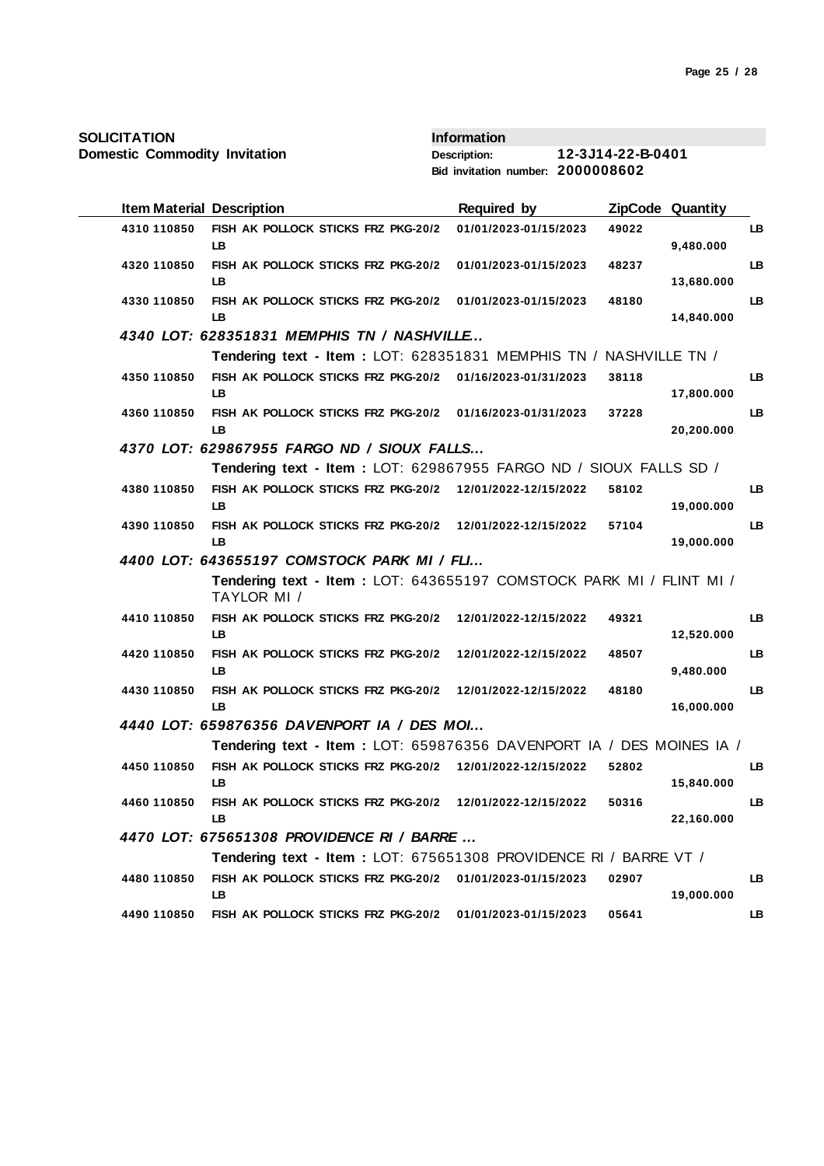| <b>Item Material Description</b> |                                                                                    | <b>Required by</b>    |       | ZipCode Quantity |    |
|----------------------------------|------------------------------------------------------------------------------------|-----------------------|-------|------------------|----|
| 4310 110850                      | FISH AK POLLOCK STICKS FRZ PKG-20/2<br>LB.                                         | 01/01/2023-01/15/2023 | 49022 | 9,480.000        | LB |
| 4320 110850                      | FISH AK POLLOCK STICKS FRZ PKG-20/2<br>LB                                          | 01/01/2023-01/15/2023 | 48237 | 13,680.000       | LB |
| 4330 110850                      | FISH AK POLLOCK STICKS FRZ PKG-20/2<br>LB                                          | 01/01/2023-01/15/2023 | 48180 | 14,840.000       | LB |
|                                  | 4340 LOT: 628351831 MEMPHIS TN / NASHVILLE                                         |                       |       |                  |    |
|                                  | Tendering text - Item: LOT: 628351831 MEMPHIS TN / NASHVILLE TN /                  |                       |       |                  |    |
| 4350 110850                      | FISH AK POLLOCK STICKS FRZ PKG-20/2 01/16/2023-01/31/2023<br>LB                    |                       | 38118 | 17,800.000       | LB |
| 4360 110850                      | FISH AK POLLOCK STICKS FRZ PKG-20/2<br>LB                                          | 01/16/2023-01/31/2023 | 37228 | 20,200.000       | LB |
|                                  | 4370 LOT: 629867955 FARGO ND / SIOUX FALLS                                         |                       |       |                  |    |
|                                  | Tendering text - Item: LOT: 629867955 FARGO ND / SIOUX FALLS SD /                  |                       |       |                  |    |
| 4380 110850                      | FISH AK POLLOCK STICKS FRZ PKG-20/2 12/01/2022-12/15/2022<br><b>LB</b>             |                       | 58102 | 19,000.000       | LB |
| 4390 110850                      | FISH AK POLLOCK STICKS FRZ PKG-20/2 12/01/2022-12/15/2022<br>LB                    |                       | 57104 | 19,000.000       | LB |
|                                  | 4400 LOT: 643655197 COMSTOCK PARK MI / FLI                                         |                       |       |                  |    |
|                                  | Tendering text - Item: LOT: 643655197 COMSTOCK PARK MI / FLINT MI /<br>TAYLOR MI / |                       |       |                  |    |
| 4410 110850                      | FISH AK POLLOCK STICKS FRZ PKG-20/2<br><b>LB</b>                                   | 12/01/2022-12/15/2022 | 49321 | 12,520.000       | LB |
| 4420 110850                      | FISH AK POLLOCK STICKS FRZ PKG-20/2<br>LB.                                         | 12/01/2022-12/15/2022 | 48507 | 9,480.000        | LB |
| 4430 110850                      | FISH AK POLLOCK STICKS FRZ PKG-20/2<br>LB.                                         | 12/01/2022-12/15/2022 | 48180 | 16,000.000       | LB |
|                                  | 4440 LOT: 659876356 DAVENPORT IA / DES MOI                                         |                       |       |                  |    |
|                                  | Tendering text - Item : LOT: 659876356 DAVENPORT IA / DES MOINES IA /              |                       |       |                  |    |
| 4450 110850                      | FISH AK POLLOCK STICKS FRZ PKG-20/2 12/01/2022-12/15/2022<br>LB.                   |                       | 52802 | 15,840.000       | LB |
| 4460 110850                      | FISH AK POLLOCK STICKS FRZ PKG-20/2<br>LB                                          | 12/01/2022-12/15/2022 | 50316 | 22,160.000       | LB |
|                                  | 4470 LOT: 675651308 PROVIDENCE RI / BARRE                                          |                       |       |                  |    |
|                                  | Tendering text - Item : LOT: 675651308 PROVIDENCE RI / BARRE VT /                  |                       |       |                  |    |
| 4480 110850                      | FISH AK POLLOCK STICKS FRZ PKG-20/2<br>LВ                                          | 01/01/2023-01/15/2023 | 02907 | 19,000.000       | LB |
| 4490 110850                      | FISH AK POLLOCK STICKS FRZ PKG-20/2                                                | 01/01/2023-01/15/2023 | 05641 |                  | LB |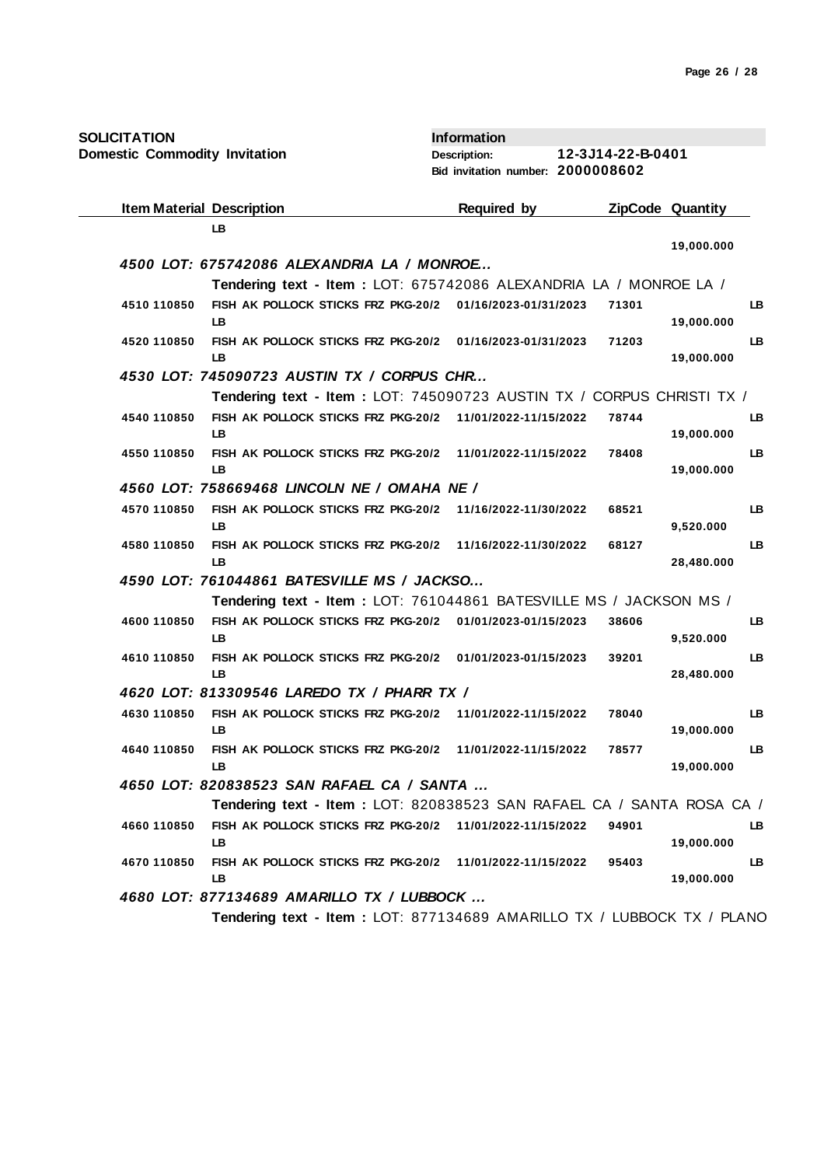| <b>SOLICITATION</b> |  |
|---------------------|--|
|---------------------|--|

| <b>SOLICITATION</b>                  |                                                                        | <b>Information</b>                |                   |                         |
|--------------------------------------|------------------------------------------------------------------------|-----------------------------------|-------------------|-------------------------|
| <b>Domestic Commodity Invitation</b> |                                                                        | <b>Description:</b>               | 12-3J14-22-B-0401 |                         |
|                                      |                                                                        | Bid invitation number: 2000008602 |                   |                         |
|                                      | <b>Item Material Description</b>                                       | <b>Required by</b>                |                   | <b>ZipCode Quantity</b> |
|                                      | LB                                                                     |                                   |                   |                         |
|                                      | 4500 LOT: 675742086 ALEXANDRIA LA / MONROE                             |                                   |                   | 19,000.000              |
|                                      | Tendering text - Item: LOT: 675742086 ALEXANDRIA LA / MONROE LA /      |                                   |                   |                         |
| 4510 110850                          | FISH AK POLLOCK STICKS FRZ PKG-20/2<br>LB                              | 01/16/2023-01/31/2023             | 71301             | LB.<br>19,000.000       |
| 4520 110850                          | FISH AK POLLOCK STICKS FRZ PKG-20/2 01/16/2023-01/31/2023<br>LB        |                                   | 71203             | LB<br>19,000.000        |
|                                      | 4530 LOT: 745090723 AUSTIN TX / CORPUS CHR                             |                                   |                   |                         |
|                                      | Tendering text - Item: LOT: 745090723 AUSTIN TX / CORPUS CHRISTI TX /  |                                   |                   |                         |
| 4540 110850                          | FISH AK POLLOCK STICKS FRZ PKG-20/2 11/01/2022-11/15/2022<br>LB        |                                   | 78744             | LB.<br>19,000.000       |
| 4550 110850                          | FISH AK POLLOCK STICKS FRZ PKG-20/2<br>LB                              | 11/01/2022-11/15/2022             | 78408             | LB<br>19,000.000        |
|                                      | 4560 LOT: 758669468 LINCOLN NE / OMAHA NE /                            |                                   |                   |                         |
| 4570 110850                          | FISH AK POLLOCK STICKS FRZ PKG-20/2<br>LB                              | 11/16/2022-11/30/2022             | 68521             | LB.<br>9,520.000        |
| 4580 110850                          | FISH AK POLLOCK STICKS FRZ PKG-20/2<br>LB                              | 11/16/2022-11/30/2022             | 68127             | LB<br>28,480.000        |
|                                      | 4590 LOT: 761044861 BATESVILLE MS / JACKSO                             |                                   |                   |                         |
|                                      | Tendering text - Item: LOT: 761044861 BATESVILLE MS / JACKSON MS /     |                                   |                   |                         |
| 4600 110850                          | FISH AK POLLOCK STICKS FRZ PKG-20/2<br>LB                              | 01/01/2023-01/15/2023             | 38606             | LB.<br>9,520.000        |
| 4610 110850                          | FISH AK POLLOCK STICKS FRZ PKG-20/2 01/01/2023-01/15/2023<br>LB        |                                   | 39201             | LB<br>28,480.000        |
|                                      | 4620 LOT: 813309546 LAREDO TX / PHARR TX /                             |                                   |                   |                         |
| 4630 110850                          | FISH AK POLLOCK STICKS FRZ PKG-20/2 11/01/2022-11/15/2022<br>LВ        |                                   | 78040             | LB.<br>19,000.000       |
| 4640 110850                          | FISH AK POLLOCK STICKS FRZ PKG-20/2 11/01/2022-11/15/2022<br>LB        |                                   | 78577             | LB.<br>19,000.000       |
|                                      | 4650 LOT: 820838523 SAN RAFAEL CA / SANTA                              |                                   |                   |                         |
|                                      | Tendering text - Item: LOT: 820838523 SAN RAFAEL CA / SANTA ROSA CA /  |                                   |                   |                         |
| 4660 110850                          | FISH AK POLLOCK STICKS FRZ PKG-20/2 11/01/2022-11/15/2022<br>LВ        |                                   | 94901             | LB.<br>19,000.000       |
| 4670 110850                          | FISH AK POLLOCK STICKS FRZ PKG-20/2<br>LB                              | 11/01/2022-11/15/2022             | 95403             | LB<br>19,000.000        |
|                                      | 4680 LOT: 877134689 AMARILLO TX / LUBBOCK                              |                                   |                   |                         |
|                                      | Tendering text - Item: LOT: 877134689 AMARILLO TX / LUBBOCK TX / PLANO |                                   |                   |                         |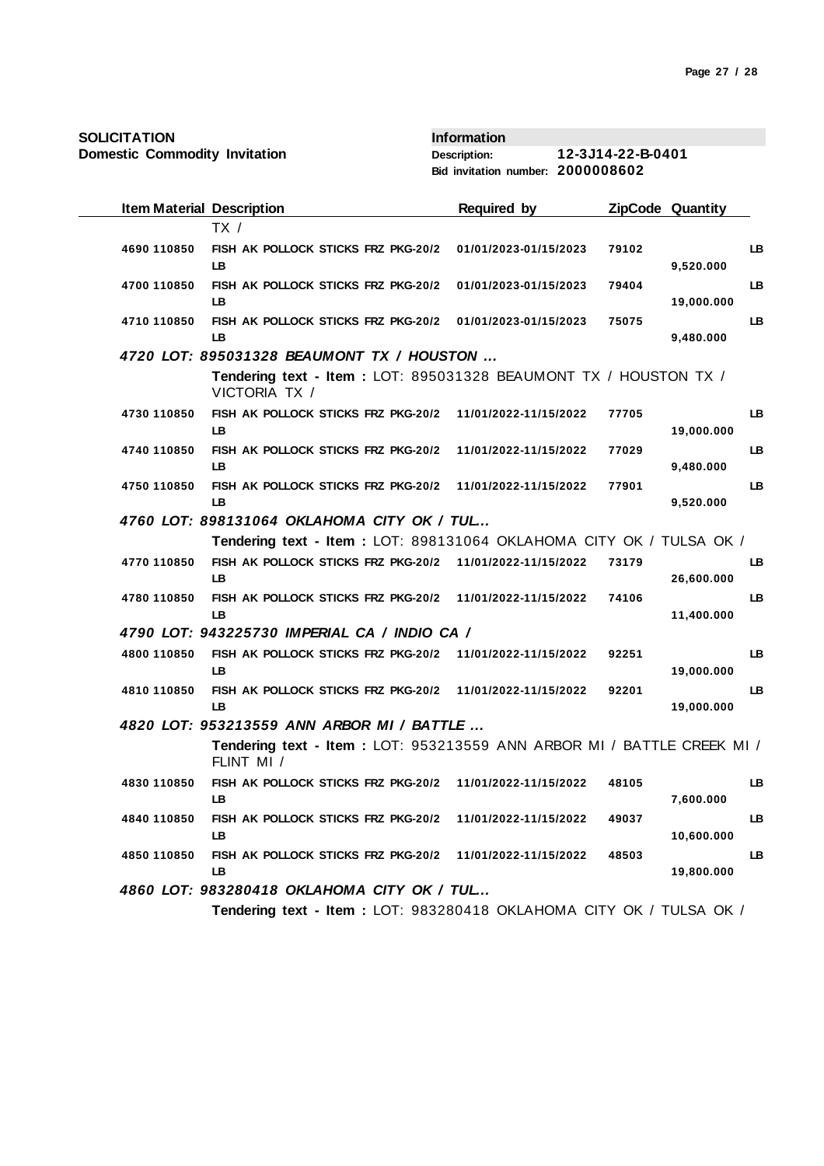| <b>SOLICITATION</b>                  |                                                                                       | <b>Information</b>                |                   |                         |    |
|--------------------------------------|---------------------------------------------------------------------------------------|-----------------------------------|-------------------|-------------------------|----|
| <b>Domestic Commodity Invitation</b> |                                                                                       | <b>Description:</b>               | 12-3J14-22-B-0401 |                         |    |
|                                      |                                                                                       | Bid invitation number: 2000008602 |                   |                         |    |
| <b>Item Material Description</b>     |                                                                                       | <b>Required by</b>                |                   | <b>ZipCode Quantity</b> |    |
|                                      | TX /                                                                                  |                                   |                   |                         |    |
| 4690 110850                          | FISH AK POLLOCK STICKS FRZ PKG-20/2<br>LB                                             | 01/01/2023-01/15/2023             | 79102             | 9,520.000               | LВ |
| 4700 110850                          | FISH AK POLLOCK STICKS FRZ PKG-20/2<br>LB                                             | 01/01/2023-01/15/2023             | 79404             | 19,000.000              | LB |
| 4710 110850                          | FISH AK POLLOCK STICKS FRZ PKG-20/2<br>LB                                             | 01/01/2023-01/15/2023             | 75075             | 9,480.000               | LB |
|                                      | 4720 LOT: 895031328 BEAUMONT TX / HOUSTON                                             |                                   |                   |                         |    |
|                                      | Tendering text - Item: LOT: 895031328 BEAUMONT TX / HOUSTON TX /<br>VICTORIA TX /     |                                   |                   |                         |    |
| 4730 110850                          | FISH AK POLLOCK STICKS FRZ PKG-20/2<br>LB.                                            | 11/01/2022-11/15/2022             | 77705             | 19,000.000              | LB |
| 4740 110850                          | FISH AK POLLOCK STICKS FRZ PKG-20/2<br>LB                                             | 11/01/2022-11/15/2022             | 77029             | 9,480.000               | LB |
| 4750 110850                          | FISH AK POLLOCK STICKS FRZ PKG-20/2<br>LВ                                             | 11/01/2022-11/15/2022             | 77901             | 9,520.000               | LB |
|                                      | 4760 LOT: 898131064 OKLAHOMA CITY OK / TUL                                            |                                   |                   |                         |    |
|                                      | Tendering text - Item: LOT: 898131064 OKLAHOMA CITY OK / TULSA OK /                   |                                   |                   |                         |    |
| 4770 110850                          | FISH AK POLLOCK STICKS FRZ PKG-20/2 11/01/2022-11/15/2022<br>LB.                      |                                   | 73179             | 26,600.000              | LB |
| 4780 110850                          | FISH AK POLLOCK STICKS FRZ PKG-20/2<br>LВ                                             | 11/01/2022-11/15/2022             | 74106             | 11,400.000              | LB |
|                                      | 4790 LOT: 943225730 IMPERIAL CA / INDIO CA /                                          |                                   |                   |                         |    |
| 4800 110850                          | FISH AK POLLOCK STICKS FRZ PKG-20/2<br>LВ                                             | 11/01/2022-11/15/2022             | 92251             | 19,000.000              | LB |
| 4810 110850                          | FISH AK POLLOCK STICKS FRZ PKG-20/2<br>LB                                             | 11/01/2022-11/15/2022             | 92201             | 19,000.000              | LB |
|                                      | 4820 LOT: 953213559 ANN ARBOR MI / BATTLE                                             |                                   |                   |                         |    |
|                                      | Tendering text - Item : LOT: 953213559 ANN ARBOR MI / BATTLE CREEK MI /<br>FLINT MI / |                                   |                   |                         |    |
| 4830 110850                          | FISH AK POLLOCK STICKS FRZ PKG-20/2<br>LB                                             | 11/01/2022-11/15/2022             | 48105             | 7,600.000               | LB |
| 4840 110850                          | FISH AK POLLOCK STICKS FRZ PKG-20/2<br>LB.                                            | 11/01/2022-11/15/2022             | 49037             | 10,600.000              | LB |
| 4850 110850                          | FISH AK POLLOCK STICKS FRZ PKG-20/2<br>LB.                                            | 11/01/2022-11/15/2022             | 48503             | 19,800.000              | LB |
|                                      | 4860 LOT: 983280418 OKLAHOMA CITY OK / TUL                                            |                                   |                   |                         |    |
|                                      | Tendering text - Item : LOT: 983280418 OKLAHOMA CITY OK / TULSA OK /                  |                                   |                   |                         |    |